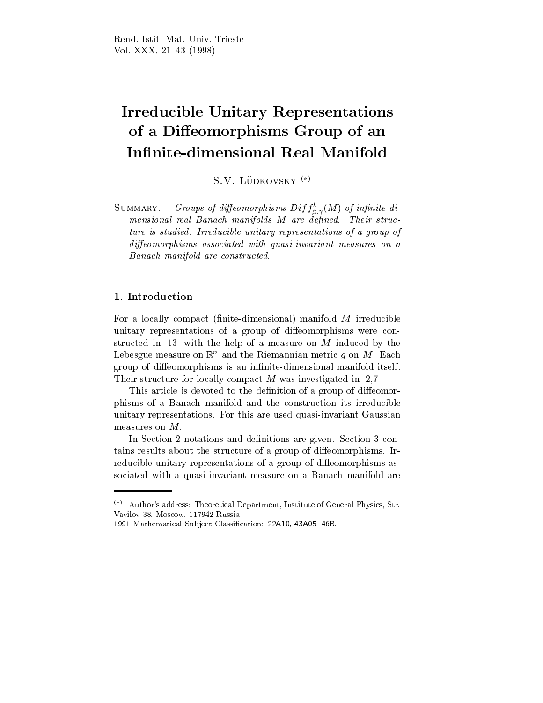# Irreducible Unitary Representations of a Diffeomorphisms Group of an Infinite-dimensional Real Manifold

S.V. LÜDKOVSKY<sup>(\*)</sup>

SUMMARY. - Groups of althomorphisms  $Diff_{\beta,\gamma}(M)$  of infinite-ai-; mensional real Banach manifolds M are described manifolds manifolds and manifolds and ture is studied. Irreducible unitary representations of <sup>a</sup> group of die omdatelige with a state associated with a state measures on a state with measures on a state of the state Banach manifold are constructed and constructed are constructed.

For a locally compact (finite-dimensional) manifold  $M$  irreducible unitary representations of a group of diffeomorphisms were constructed in [13] with the help of a measure on M induced by the Lebesgue measure on  $\mathbb{R}^n$  and the Riemannian metric g on M. Each group of diffeomorphisms is an infinite-dimensional manifold itself. Their structure for locally compact M was investigated in [2,7].

This article is devoted to the definition of a group of diffeomorphisms of a Banach manifold and the construction its irreducible unitary representations. For this are used quasi-invariant Gaussian measures on M.

In Section 2 notations and definitions are given. Section 3 contains results about the structure of a group of diffeomorphisms. Irreducible unitary representations of a group of diffeomorphisms associated with a quasi-invariant measure on a Banach manifold are

 $(*)$  Author's address: Theoretical Department, Institute of General Physics, Str. Vavilov 38, Moscow, 117942 Russia

<sup>1991</sup> Mathematical Sub ject Classication: 22A10, 43A05, 46B.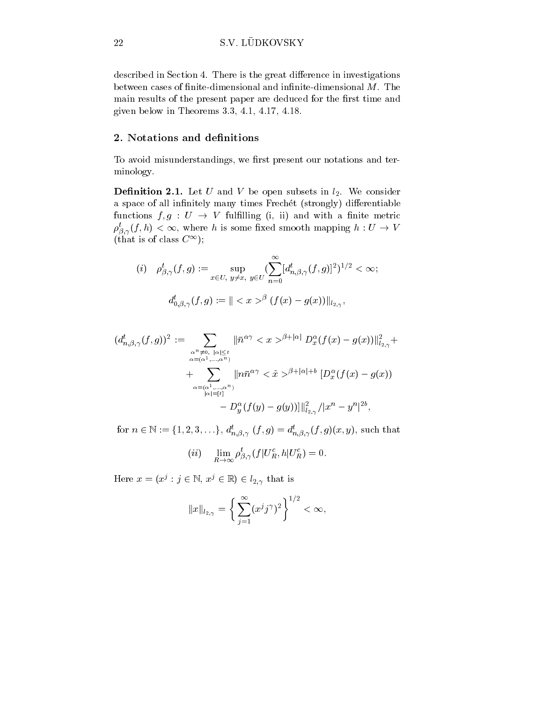described in Section 4. There is the great difference in investigations between cases of finite-dimensional and infinite-dimensional  $M$ . The main results of the present paper are deduced for the first time and given below in Theorems 3.3, 4.1, 4.17, 4.18.

### <u>—. A loved can den de de de de de de</u>

To avoid misunderstandings, we first present our notations and terminology.

**Definition 2.1.** Let U and V be open subsets in  $l_2$ . We consider a space of all infinitely many times Frechet (strongly) differentiable functions  $f, g: U \to V$  fulfilling (i, ii) and with a finite metric  $\rho_{\beta,\gamma}(f,n) < \infty$ , where *n* is some fixed smooth mapping  $n: U \to V$ (that is of class C1);

$$
\begin{array}{ll} (i) \quad \rho_{\beta,\gamma}^t(f,g):= \sup_{x\in U, \ y\neq x, \ y\in U} (\sum_{n=0}^\infty [d_{n,\beta,\gamma}^t(f,g)]^2)^{1/2} < \infty; \\[3mm] d_{0,\beta,\gamma}^t(f,g):= \Vert ^{\beta} \ (f(x)-g(x))\Vert_{l_{2,\gamma}}, \end{array}
$$

$$
(d_{n,\beta,\gamma}^{t}(f,g))^{2} := \sum_{\substack{\alpha^{n} \neq 0, \ |\alpha| \leq t \\ \alpha = (\alpha^{1}, \dots, \alpha^{n}) \\ + \sum_{\substack{\alpha = (\alpha^{1}, \dots, \alpha^{n}) \\ |\alpha| = [t]}} ||n\bar{n}^{\alpha\gamma} \langle x \rangle^{\beta + |\alpha|} D_{x}^{\alpha}(f(x) - g(x))||_{l_{2,\gamma}}^{2} +
$$
  
+ 
$$
\sum_{\substack{\alpha = (\alpha^{1}, \dots, \alpha^{n}) \\ |\alpha| = [t]}} ||n\bar{n}^{\alpha\gamma} \langle x \rangle^{\beta + |\alpha| + b} [D_{x}^{\alpha}(f(x) - g(x)) - D_{y}^{\alpha}(f(g) - g(g))]||_{l_{2,\gamma}}^{2} / |x^{n} - y^{n}|^{2b},
$$

for  $n \in \mathbb{N} := \{1, 2, 3, \ldots\}$ ,  $a_{n, \beta, \gamma}(J, g) = a_{n, \beta, \gamma}(J, g)(x, y)$ , such that

$$
(ii) \quad \lim_{R \to \infty} \rho_{\beta,\gamma}^t(f|U_R^c, h|U_R^c) = 0.
$$

Here  $x = (x^j : j \in \mathbb{N}, x^j \in \mathbb{N}) \in l_{2,\gamma}$  that is

$$
||x||_{l_{2,\gamma}} = \left\{ \sum_{j=1}^{\infty} (x^j j^{\gamma})^2 \right\}^{1/2} < \infty,
$$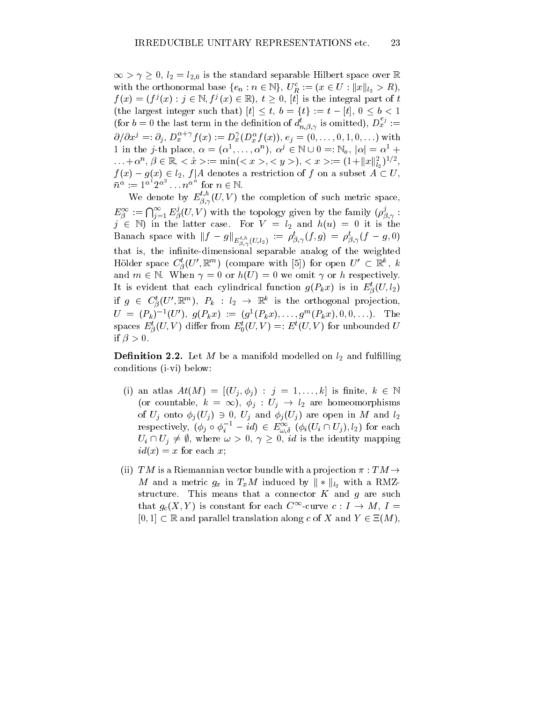$\infty > \gamma \geq 0, t_2 = t_{2,0}$  is the standard separable Hilbert space over  $\mathbb R$ with the orthonormal base  $\{e_n : n \in \mathbb{N}\},\ U_R^{\bullet} := (x \in U : ||x||_{l_2} > R),$  $f(x)=(f^{j}(x): j \in \mathbb{N}, f^{j}(x) \in \mathbb{R}), t \geq 0, t$  is the integral part of t (the largest integer such that)  $[t] \leq t, b = \{t\} := t - [t], 0 \leq b < 1$ (for  $b=0$  the last term in the definition of  $d_{n,\beta,\gamma}^{\prime}$  is omitted),  $D_x^{\prime\prime}:=$  $\partial/\partial x^{j} =: \partial_{j}, D_{x}^{x+j} f(x) := D_{x}^{j}(D_{x}^{n} f(x)), e_{j} = (0, \ldots, 0, 1, 0, \ldots)$  with 1 in the j-th place,  $\alpha = (\alpha^1, \ldots, \alpha^n), \ \alpha^j \in \mathbb{N} \cup 0 =: \mathbb{N}_0, \ |\alpha| = \alpha^1 + \cdots$  $\ldots + \alpha^{\dots}, \, p \in \mathbb{R}, \, \leq x \geq := \min\{ \leq x \geq \leq y \geq 0, \, \leq x \geq := (1 + ||x||_{l_2})^{\dots} \},$  $f(x) - g(x) \in l_2$ ,  $f | A$  denotes a restriction of f on a subset  $A \subset U$ ,  $\bar{n}^{\alpha} := 1^{\alpha} 2^{\alpha} \dots n^{\alpha}$  for  $n \in \mathbb{N}$ .

We denote by  $E_{\beta,\gamma}^{\gamma}(U,V)$  the completion of such metric space, ;  $E^{\infty}_{\beta} := \bigcap_{j=1}^{\infty} E_{\beta}^{j}(U, V)$  with the topology given by the family  $(\rho_{\beta, \gamma}^{j}:$ . . .  $j \in \mathbb{N}$ ) in the latter case. For  $V = l_2$  and  $h(u) = 0$  it is the Banach space with  $||J - g||_{E_{\beta,\gamma}^{t,h}(U,l_2)} := \rho_{\beta,\gamma}(J,g) = \rho_{\beta,\gamma}(J - g,0)$ that is, the infinite-dimensional separable analog of the weighted Holder space  $\bigcup_{\beta} (U, \mathbb{R}^m)$  (compare with [5]) for open  $U \subset \mathbb{R}^n$ ,  $\kappa$  $\tilde{ }$ and  $m \in \mathbb{N}$ . When  $\gamma = 0$  or  $h(U) = 0$  we omit  $\gamma$  or h respectively. It is evident that each cylindrical function  $g(P_kx)$  is in  $E^s_\beta(U, \iota_2)$  $\sim$ if  $g \in C_{\beta}(U^{\prime}, \mathbb{R}^{m}), \; P_{k} \; : \; i_{2} \; \rightarrow \; \mathbb{R}^{m}$  is the orthogonal projection,  $U = (P_k)^{-1}(U'), g(P_kx) := (g^1(P_kx), \ldots, g^m(P_kx), 0, 0, \ldots).$  The spaces  $E^s_{\beta}(U, V)$  differ from  $E^s_0(U, V) =: E^s(U, V)$  for unbounded U  $\sim$ if  $\beta > 0$ .

**Definition 2.2.** Let M be a manifold modelled on  $l_2$  and fulfilling conditions (i-vi) below:

- (1) an atlas  $At(M) = |(U_i, \varphi_i)| : j = 1, \ldots, \kappa$  is finite,  $\kappa \in \mathbb{N}$ (or countable,  $\kappa = \infty$ ),  $\varphi_i : U_i \to U_2$  are nomeomorphisms of  $U_j$  onto  $\varphi_j(U_j) \ni U, U_j$  and  $\varphi_j(U_j)$  are open in M and  $i_2$ respectively,  $(\varphi_j \circ \varphi_i - ia) \in E^{\infty}_{\omega,\delta}$   $(\varphi_i(U_i \cap U_j), i_2)$  for each  $U_i \sqcup U_j \neq \emptyset$ , where  $\omega > 0$ ,  $\gamma > 0$ , a is the identity mapping  $id(x) = x$  for each x;
- (ii) TM is a Riemannian vector bundle with a projection  $\pi : TM \rightarrow$ *M* and a metric  $g_x$  in  $T_xM$  induced by  $\|*\|_{l_2}$  with a RMZstructure. This means that a connector  $K$  and  $g$  are such that  $g_c(X, Y)$  is constant for each  $C^{\infty}$ -curve  $c : I \to M$ ,  $I =$  $[0, 1] \subset \mathbb{R}$  and parallel translation along c of X and  $Y \in \Xi(M)$ ,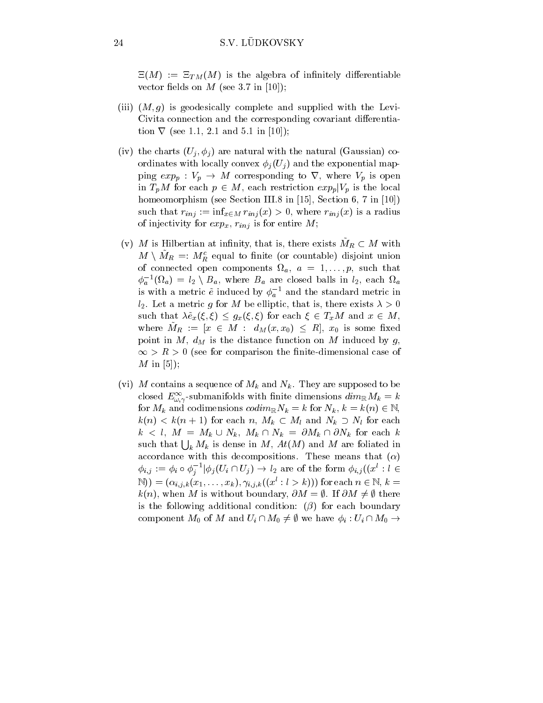$\Xi(M) := \Xi_{TM}(M)$  is the algebra of infinitely differentiable vector fields on  $M$  (see 3.7 in [10]);

- (iii)  $(M, g)$  is geodesically complete and supplied with the Levi-Civita connection and the corresponding covariant differentiation  $\nabla$  (see 1.1, 2.1 and 5.1 in [10]);
- (iv) the charts (Uj iii) are natural with the natural with the natural  $\mathcal{U}$ ordinates with local localization of  $U$  ,  $U$  is an ordinates in the exponential mapping  $exp_p$  :  $v_p \rightarrow M$  corresponding to v, where  $v_p$  is open in  $T_pM$  for each  $p \in M$ , each restriction  $exp_p|\mathbf{v}_p|$  is the local homeomorphism (see Section III.8 in [15], Section 6, 7 in [10]) such that ring  $\mu_1$  , which is a radius  $\mu_1$  ring (x) is a radius of  $\mu_1$  is a radius  $\mu_1$ of injectivity for expansion  $\mathbf{r}$  and  $\mathbf{r}$  is for entire M; is for entire  $\mathbf{r}$
- (v) M is Hilbertian at infinity, that is, there exists  $M_R \subset M$  with  $M \setminus M_R \equiv: M_R^-$  equal to finite (or countable) disjoint union of connected open components fig. . The fig. such that  $\alpha$  $\varphi_a$  (s $\iota_a$ ) =  $\iota_2$  \  $B_a$ , where  $B_a$  are closed balls in  $\iota_2$ , each s $\iota_a$ is with a metric  $\tilde{e}$  induced by  $\phi_a^{-1}$  and the standard metric in  $l_2$ . Let a metric g for M be elliptic, that is, there exists  $\lambda > 0$ such that  $\lambda \tilde{e}_x(\xi, \xi) \leq g_x(\xi, \xi)$  for each  $\xi \in T_xM$  and  $x \in M$ , where  $M_R := [x \in M : a_M(x, x_0) \le R], x_0$  is some fixed point in M, d,  $M$  is the distance function on  $\alpha$  is the distance function of  $g$  ,  $g$  ,  $\infty > \kappa > 0$  (see for comparison the finite-dimensional case of  $M$  in [5]);
- (vie) and contains a sequence of the  $N$  and  $N$  and  $N$  are supposed to be because to be defined to be a support of  $N$ closed  $E_{\omega,\gamma}$ -submanifolds with finite dimensions  $\alpha m_{\mathbb{R}} m_k = \kappa$ . . . for  $M_k$  and codimensions  $coarm_RN_k = \kappa$  for  $N_k, \kappa = \kappa(n) \in \mathbb{N}$ ,  $\kappa(n) < \kappa(n+1)$  for each  $n, M_k \subset M_l$  and  $N_k \supset N_l$  for each  $\kappa \leq \iota, \; M = M_k \cup N_k, \; M_k + N_k = \sigma M_k + \sigma N_k$  for each  $\kappa$ such that  $\bigcup_k M_k$  is dense in M,  $At(M)$  and M are foliated in accordance with this decompositions. These means that  $(\alpha)$  $\varphi_{i,j} := \varphi_i \circ \varphi_j \quad |\varphi_j(U_i \sqcup U_j)| \to \iota_2$  are of the form  $\varphi_{i,j}((x : i \in$ j $(N)$ ) =  $(\alpha_{i,j,k}(x_1,\ldots,x_k), \gamma_{i,j,k}((x^l : l > k)))$  for each  $n \in \mathbb{N}, k =$  $k(n)$ , when M is without boundary,  $\partial M = \emptyset$ . If  $\partial M \neq \emptyset$  there is the following additional condition:  $(\beta)$  for each boundary component  $M_0$  of M and  $U_i \cap M_0 \neq \emptyset$  we have  $\phi_i : U_i \cap M_0 \rightarrow$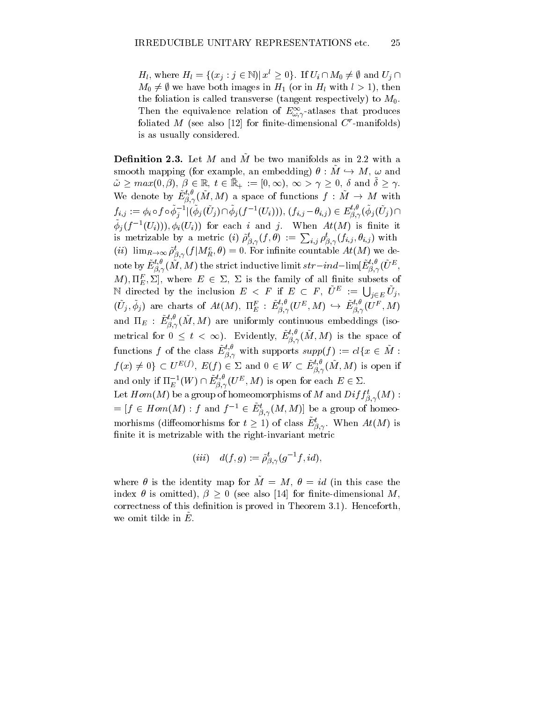$H_l$ , where  $H_l = \{(x_j : j \in \mathbb{N}) | x \geq 0\}$ . If  $U_l \cap M_0 \neq \emptyset$  and  $U_j \cap$  $M_0 \neq \emptyset$  we have both images in  $H_1$  (or in  $H_l$  with  $l > 1$ ), then the foliation is called transverse (tangent respectively) to  $M_0$ . Then the equivalence relation of  $E_{\omega,\gamma}$ -atlases that produces foliated  $M$  (see also [12] for finite-dimensional  $C$  -manifolds) is as usually considered.

**Definition 2.3.** Let M and  $\tilde{M}$  be two manifolds as in 2.2 with a smooth mapping (for example, an embedding)  $\theta : M \rightarrow M$ ,  $\omega$  and  $\omega \geq max(0, p), \ p \in \mathbb{R}, \ t \in \mathbb{R}_+ := [0, \infty), \ \infty > \gamma \geq 0, \ \theta \text{ and } \theta \geq \gamma.$ We denote by  $E_{\beta,\gamma}^{\infty}(M,M)$  a space of functions  $f : M \to M$  with ;  $f_{i,j} := \phi_i \circ f \circ \phi_j^{-1} |(\phi_j(U_j) \cap \phi_j(f^{-1}(U_i))),~(f_{i,j} - \theta_{i,j}) \in E_{\beta,\gamma}^{\circ}(\phi_j(U_j) \cap \mathcal{S})$  $\varphi_i(j^{-1}(U_i))$ ,  $\varphi_i(U_i)$  for each i and j. When  $Ai(M)$  is finite it is metrizable by a metric (i)  $\tilde{\rho}_{\beta,\gamma}^t(f,\theta) := \sum_{i,j} \rho_{\beta,\gamma}^t(f_{i,j},\theta_{i,j})$  with  $(i\ell)$   $\lim_{R\to\infty}\rho_{\beta,\gamma}(f|M_R^i,\theta)=0.$  For infinite countable  $At(M)$  we denote by  $E_{\beta,\gamma}^\circ(M,M)$  the strict inductive limit  $str-ind-\text{lim}[E_{\beta,\gamma}^\circ(U^\omega,$  $M$ ),  $\Pi_{E}$ ,  $\Sigma$ ], where  $E \in \Sigma$ ,  $\Sigma$  is the family of all limite subsets of N directed by the inclusion  $E \, \leq \, F$  if  $E \, \subset \, F$ ,  $\tilde{U}^E \, := \, \bigcup_{j \in E} \tilde{U}_j$ ,  $(U_j,\phi_j)$  are charts of  $At(M)$ ,  $\Pi_E^F : E_{\beta,\gamma}^{\gamma,\gamma}(U^E,M) \hookrightarrow E_{\beta,\gamma}^{\gamma,\gamma}(U^F,M)$ and  $\Pi_E$  :  $E_{\beta,\gamma}^{\gamma, \gamma}(M,M)$  are uniformly continuous embeddings (isometrical for  $0 \leq t < \infty$ ). Evidently,  $E_{\beta,\gamma}^{\gamma}(M,M)$  is the space of . . . functions f of the class  $E^{\alpha}_{\beta,\gamma}$  with supports  $supp(f) := cl\{x \in M:$ functions f of the class  $\hat{E}$ <br> $f(x) \neq 0$   $\subset U^{E(f)}$ ,  $E(f)$ ,  $E(f) \in \Sigma$  and  $0 \in W \subset E_{\beta, \gamma}^{\sim}(M, M)$  is open if . . . and only if  $\Pi_{E}^{-1}(W) \cap E_{\beta,\gamma}^{\gamma}(U^{\#},M)$  is open for each  $E \in \Sigma.$ Let  $Hom(M)$  be a group of nomeomorphisms of M and  $Diff_{\beta,\gamma}(M)$  : . . .  $I = [J \in Hom(M) : J \text{ and } J \in E_{\beta, \gamma}(M, M)]$  be a group of homeomorhisms (diffeomorhisms for  $t \ge 1$ ) of class  $E^s_{\beta,\gamma}$ . When  $At(M)$  is . . . finite it is metrizable with the right-invariant metric

$$
(iii) \quad d(f,g):=\tilde{\rho}_{\beta,\gamma}^t(g^{-1}f,id),
$$

where  $\theta$  is the identity map for  $\tilde{M} = M$ ,  $\theta = id$  (in this case the index  $\theta$  is omitted),  $\beta \geq 0$  (see also [14] for finite-dimensional M, correctness of this definition is proved in Theorem 3.1). Henceforth, we omit the  $\mu$ .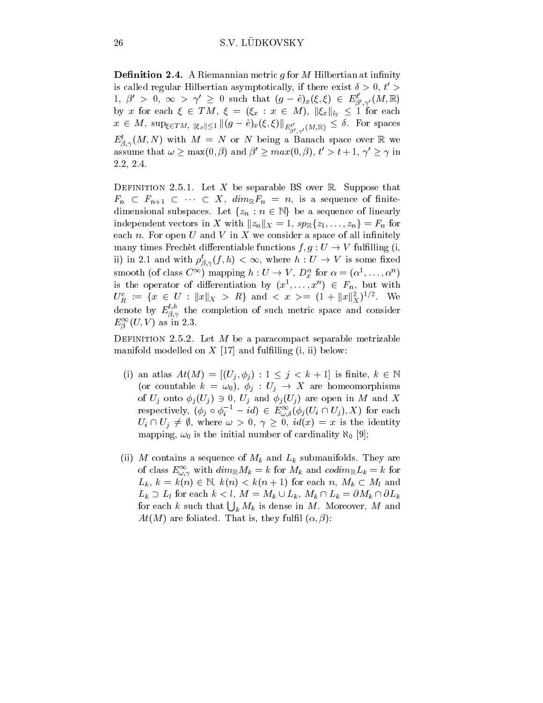**Definition 2.4.** A Riemannian metric q for M Hilbertian at infinity is called regular Hilbertian asymptotically, if there exist  $\sigma > 0, \ t > 0$  $1, \beta' > 0, \infty > \gamma' \geq 0$  such that  $(g - \tilde{e})_x(\xi, \xi) \in E_{\beta', \gamma'}(M, \mathbb{R})$ by x for each  $\zeta \in I \mathcal{M}, \ \zeta = (\zeta_x : x \in \mathcal{M}), \ ||\zeta_x||_{l_2} \leq 1$  for each  $x \in M$ , sup<sub> $\xi \in TM$ ,  $\|\xi_x\| \leq 1$   $\| (g - e)_{x}(\xi, \xi) \|_{E^{t'}_{\beta', \gamma'}(M, \mathbb{R})} \leq 0$ . For spaces</sub>  $E_{\beta,\gamma}(M,N)$  with  $M = N$  or N being a Banach space over  $\mathbb R$  we assume that  $\omega > \max(0, \beta)$  and  $\beta' > max(0, \beta)$ ,  $t' > t + 1$ ,  $\gamma' > \gamma$  in 2.2, 2.4.

DEFINITION 2.5.1. Let X be separable BS over R. Suppose that  $F_n \subseteq F_{n+1} \subseteq \cdots \subseteq \Lambda$ ,  $\alpha \imath m_{\mathbb{R}} F_n = n$ , is a sequence of finitedimensional subspaces. Let  $\{z_n : n \in \mathbb{N}\}\$  be a sequence of imearly independent vectors in  $X$  with  $||z_n||_X = 1$ ,  $sp_{\mathbb{R}}\{z_1,\ldots,z_n\} = r_n$  for each n. For open  $U$  and  $V$  in  $X$  we consider a space of all infinitely many times Frechet differentiable functions  $f, g: U \to V$  fulfilling (i, ii) in 2.1 and with  $\rho_{\beta,\gamma}(f,n) < \infty$ , where  $n: U \to V$  is some fixed smooth (of class  $C^{\sim}$ ) mapping  $n: U \to V, D_x^{\sim}$  for  $\alpha = (\alpha^{\sim}, \ldots, \alpha^{\sim})$ is the operator of differentiation by  $(x^1, \ldots, x^n) \in F_n$ , but with  $U_R := \{x \in U : ||x||_X > R\}$  and  $\langle x \rangle = (1 + ||x||_X)^{1/2}$ . We denote by  $E_{\beta,\gamma}^{t,h}$  the completion of such metric space and consider  $E_{\hat{\beta}}(U, V)$  as in 2.5.  $\sim$ 

DEFINITION 2.5.2. Let  $M$  be a paracompact separable metrizable manifold modelled on  $X$  [17] and fulfilling (i, ii) below:

- (1) an atlas  $At(M) = |(U_i, \varphi_i) : 1 \leq j \leq \kappa + 1|$  is finite,  $\kappa \in \mathbb{N}$ (or countable  $k = \omega_0$ ),  $\phi_i : U_i \to X$  are homeomorphisms of  $U_j$  onto  $\varphi_j(U_j) \ni U_j$ ,  $U_j$  and  $\varphi_j(U_j)$  are open in M and  $\Lambda$ respectively,  $(\varphi_j \circ \varphi_i - ia) \in E_{\omega, \delta}^{\omega}(\varphi_j(U_i \sqcup U_j), \Lambda)$  for each  $U_i \sqcup U_j \neq \emptyset$ , where  $\omega > 0$ ,  $\gamma \geq 0$ ,  $ia(x) = x$  is the identity mapping,  $\omega_0$  is the initial number of cardinality  $\aleph_0$  [9];
- (iii) M contains a sequence of  $N$  and  $N$  and  $N$  and Lk submanifolds. They are  $N$ of class  $E_{\omega,\gamma}$  with  $\alpha m_{\mathbb{R}} m_k = \kappa$  for  $m_k$  and  $\alpha \alpha m_{\mathbb{R}} L_k = \kappa$  for  $L_k$ ,  $\kappa = \kappa(n) \in \mathbb{N}$ ,  $\kappa(n) \leq \kappa(n+1)$  for each  $n$ ,  $M_k \subset M_l$  and  $L_k \supseteq L_l$  for each  $\kappa < i$ ,  $M = M_k \cup L_k$ ,  $M_k \cap L_k = \partial M_k \cap \partial L_k$ for each k such that  $\bigcup_k M_k$  is dense in M. Moreover, M and  $At(M)$  are foliated. That is, they fulfil  $(\alpha, \beta)$ :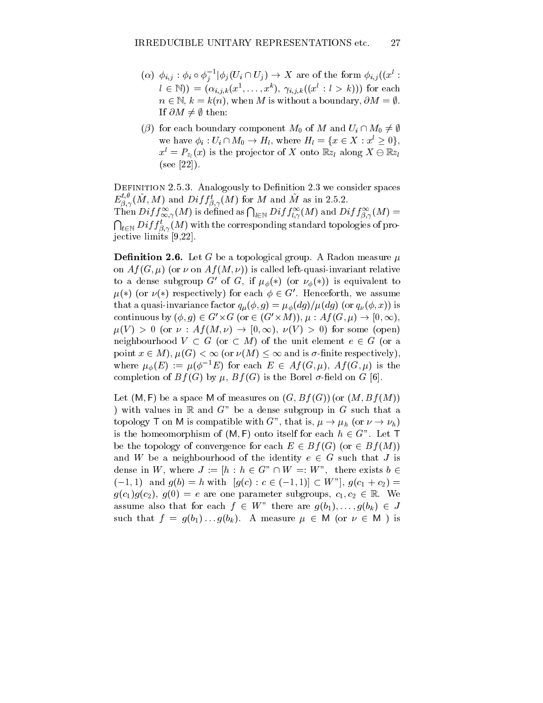- $(\alpha)$   $\varphi_{i,j}$ :  $\varphi_{i} \circ \varphi_{j}$   $\varphi_{i}$   $\psi_{i}$   $\upsilon_{j+1} \upsilon_{j}$   $\rightarrow$  A are of the form  $\varphi_{i,j}$   $\psi_{i}$ j $i \in \mathbb{N}$ )) =  $(\alpha_{i,j,k}(x^2, \ldots, x^2), \gamma_{i,j,k}((x : i > k)))$  for each  $n \in \mathbb{N}, k = k(n)$ , when M is without a boundary,  $\partial M = \emptyset$ . If  $\partial M \neq \emptyset$  then:
- $(\beta)$  for each boundary component  $M_0$  of M and  $U_i \cap M_0 \neq \emptyset$ we have  $\varphi_i : U_i \sqcup M_0 \to H_l$ , where  $H_l = \{x \in \Lambda : x \geq 0\},\$  $x^{l} = P_{z_{l}}(x)$  is the projector of X onto  $\mathbb{R}z_{l}$  along  $X \ominus \mathbb{R}z_{l}$ (see [22]).

DEFINITION 2.5.3. Analogously to Definition 2.3 we consider spaces  $E_{\beta,\gamma}^{\gamma,\nu}(M,M)$  and  $Diff_{\beta,\gamma}^{\iota}(M)$  for M and M as in 2.5.2. Then  $Diff^{\infty}_{\infty,\gamma}(M)$  is defined as  $\bigcap_{l\in\mathbb{N}} Diff^{\infty}_{l,\gamma}(M)$  and  $Diff^{\infty}_{\beta,\gamma}(M)$  =  $\bigcap_{t\in \mathbb{N}} Diff^t_{\beta,\gamma}(M)$  with the corresponding standard topologies of pro-; jective limits [9,22].

**Definition 2.6.** Let G be a topological group. A Radon measure  $\mu$ on  $Af(G, \mu)$  (or  $\nu$  on  $Af(M, \nu)$ ) is called left-quasi-invariant relative to a dense subgroup G' of G, if  $\mu_{\phi}(*)$  (or  $\nu_{\phi}(*)$ ) is equivalent to  $\mu(*)$  (or  $\nu(*)$  respectively) for each  $\phi \in G'$ . Henceforth, we assume that a quasi-invariance factor  $\mathcal{A}(\mathcal{U})=\mathcal{U}(\mathcal{U})$  and  $\mathcal{U}(\mathcal{U})=\mathcal{U}(\mathcal{U})$  is an original in continuous by  $(\varphi, q) \in G \times G$  (or  $\in$  (G  $\times M$ )),  $\mu$  : A j (G,  $\mu$ )  $\rightarrow$  [0,  $\infty$ ),  $\mu(V) > 0$  (or  $\nu : Af(M, \nu) \to [0, \infty), \nu(V) > 0$ ) for some (open) neighbourhood  $V \subset G$  (or  $\subset M$ ) of the unit element  $e \in G$  (or a point  $x \in M$ ,  $\mu(G) < \infty$  (or  $\nu(M) < \infty$  and is  $\sigma$ -finite respectively), where  $\mu_{\phi}(E) := \mu(\phi^{-1}E)$  for each  $E \in Af(G, \mu)$ ,  $Af(G, \mu)$  is the completion of  $Bf(G)$  by  $\mu$ ,  $Bf(G)$  is the Borel  $\sigma$ -field on G [6].

Let  $(M, F)$  be a space M of measures on  $(G, Bf(G))$  (or  $(M, Bf(M))$ ) ) with values in  $\mathbb R$  and  $G^*$  be a dense subgroup in  $G$  such that a topology T on M is compatible with G", that is,  $\mu \to \mu_h$  (or  $\nu \to \nu_h$ ) is the homeomorphism of  $(M, F)$  onto itself for each  $h \in G$ ". Let T be the topology of convergence for each  $E \in Bf(G)$  (or  $\in Bf(M)$ ) and W be a neighbourhood of the identity  $e \in G$  such that J is dense in W, where  $J := [h : h \in G^* \cap W =: W^*$ , there exists  $b \in$  $(-1, 1)$  and  $g(b) = h$  with  $[g(c) : c \in (-1, 1)] \subset W$ "],  $g(c_1 + c_2) =$  $g(c_1)g(c_2), g(0) = e$  are one parameter subgroups,  $c_1, c_2 \in \mathbb{R}$ . We assume also that for each  $f \in W$  there are  $g(\bar{v}_1),\ldots,g(\bar{v}_k) \in J$ such that  $f = g(v_1) \dots g(v_k)$ . A measure  $\mu \in M$  (or  $\nu \in M$  ) is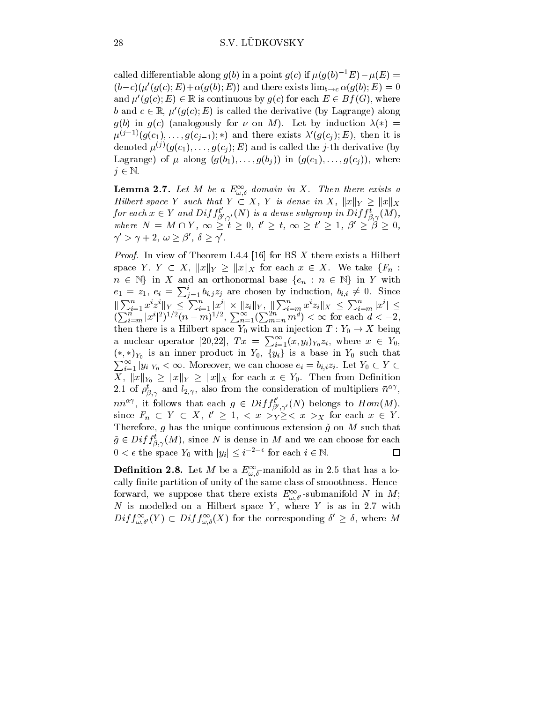called differentiable along  $g(b)$  in a point  $g(c)$  if  $\mu(g(b)^{-1}E)-\mu(E) =$  $(b-c)(\mu'(g(c); E)+\alpha(g(b); E))$  and there exists  $\lim_{b\to c} \alpha(g(b); E)=0$ and  $\mu'(g(c); E) \in \mathbb{R}$  is continuous by  $g(c)$  for each  $E \in Bf(G)$ , where b and  $c \in \mathbb{R}$ ,  $\mu'(g(c); E)$  is called the derivative (by Lagrange) along  $g(b)$  in  $g(c)$  (analogously for  $\nu$  on M). Let by induction  $\lambda(*)$  =  $\mu^{(j-1)}(g(c_1),\ldots,g(c_{j-1});*)$  and there exists  $\lambda'(g(c_j);E)$ , then it is denoted  $\mu^{(j)}(g(c_1),\ldots,g(c_j);E)$  and is called the j-th derivative (by Lagrange) of  $\mu$  along  $(g(b_1),...,g(b_j))$  in  $(g(c_1),...,g(c_j))$ , where  $j \in \mathbb{N}$ .

**Lemma 2.1.** Let  $M$  be a  $E_{\omega, \delta}$ -domain in  $\Lambda$ . Then there exists a  $\sim$  ,  $\sim$ Hilbert space Y such that  $Y \subset A$ , Y is dense in  $A$ ,  $||x||_Y$  $\textit{exists} \ a \ \geq \lVert x \rVert_{X}$ for each  $x \in Y$  and  $Diff^{\iota}_{\beta',\gamma'}(N)$  is a dense subgroup in  $Diff^{\iota}_{\beta,\gamma}(M),$ where  $N = M \sqcup I$ ,  $\infty > t > 0$ ,  $t > t$ ,  $\infty > t > 1$ ,  $p > p > 0$ ,  $\gamma' > \gamma + 2, \omega \geq \beta', \delta \geq \gamma'.$ 

Proof. In view of Theorem I.4.4 [16] for BS X there exists a Hilbert space  $Y$ ,  $Y \subseteq X$ ,  $||x||_Y \ge ||x||_X$  for each  $x \in X$ . We take  ${F_n : X}$  $n \in \mathbb{N}$  in  $\Lambda$  and an orthonormal base  $\{e_n : n \in \mathbb{N}\}\,$  in Y with  $e_1 = z_1, e_i = \sum_{i=1}^i b_{i,j} z_j$  are chosen by induction,  $b_{i,i} \neq 0$ . Since  $\|\sum_{i=1}^n x^i z^i\|_Y \leq \sum_{i=1}^n |x^i| \times \|z_i\|_Y, \ \|\sum_{i=m}^n x^i z_i\|_X \leq \sum_{i=m}^n |x^i| \leq$  $\left(\sum_{i=m}^n |x^i|^2\right)^{1/2} (n-m)^{1/2}, \sum_{n=1}^{\infty} \left(\sum_{m=n}^{2n} m^d\right) < \infty$  for each  $d < -2$ , then there is a Hilbert space  $Y_0$  with an injection  $T: Y_0 \to X$  being a nuclear operator [20,22],  $Tx = \sum_{i=1}^{\infty} (x, y_i)_{Y_0} z_i$ , where  $x \in Y_0$ ,  $(*, *)Y_0$  is an inner product in  $Y_0, \{y_i\}$  is a base in  $Y_0$  such that  $\sum_{i=1}^{\infty} |y_i|_{Y_0} < \infty$ . Moreover, we can choose  $e_i = b_{i,i}z_i$ . Let  $Y_0 \subset Y \subset Y$  $X, \|x\|_{Y_0} \geq \|x\|_{Y} \geq \|x\|_{X}$  for each  $x \in Y_0$ . Then from Definition 2.1 of  $\rho_{\beta,\gamma}$  and  $i_{2,\gamma}$ , also from the consideration of multipliers  $n^{-\gamma}$ ,  $n\bar{n}^{\alpha\gamma}$ , it follows that each  $g\in Diff_{\beta'\gamma'}^{t}(N)$  belongs to  $Hom(M)$ , since  $F_n \subseteq Y \subseteq X$ ,  $t \geq 1$ ,  $\leq x \geq y \geq \leq x \geq x$  for each  $x \in Y$ . Therefore, g has the unique continuous extension  $\tilde{g}$  on M such that Therefore, g has the unique continuous extension  $\tilde{g}$  on M s<br>  $\tilde{g} \in Diff^t_{\beta,\gamma}(M)$ , since N is dense in M and we can choose<br>  $0 < \epsilon$  the space  $Y_0$  with  $|y_i| \leq i^{-2-\epsilon}$  for each  $i \in \mathbb{N}$ .  $g \in Dif_{\hat{\beta}, \gamma}(M)$ , since N is dense in M and we can choose for each . . .  $\Box$ 

**Definition 2.8.** Let M be a  $E_{\omega,\delta}$ -manifold as in 2.5 that has a locally finite partition of unity of the same class of smoothness. Henceforward, we suppose that there exists  $E_{\omega,\delta'}^-$  submanifold TV in M; N is modelled on a Hilbert space  $Y$ , where  $Y$  is as in 2.7 with  $Dij \int_{\omega,\delta'} (Y) \subset Dij \int_{\omega,\delta} (X)$  for the corresponding  $\delta \geq 0$ , where M ...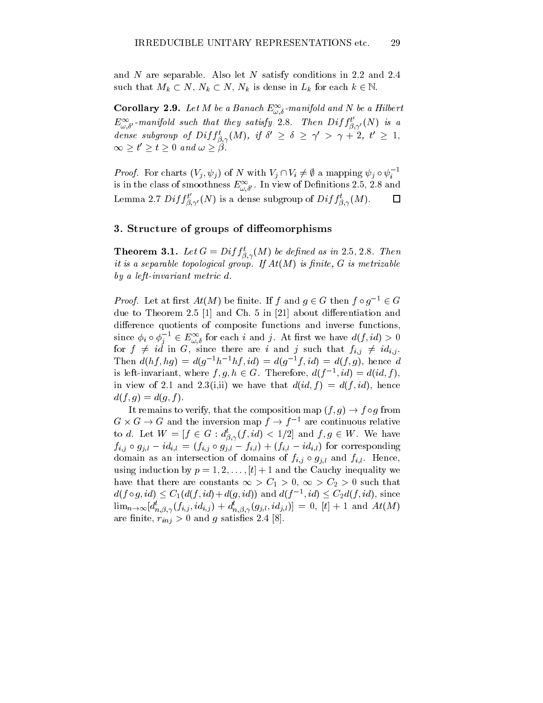and N are separable. Also let N satisfy conditions in 2.2 and 2.4 such that  $m_k \subset N$ ,  $N_k \subset N$ ,  $N_k$  is dense in  $L_k$  for each  $\kappa \in \mathbb{N}$ .

**Corollary 2.9.** Let M be a Banach  $E_{\omega, \delta}$ -manifold and N be a Hilbert  $E^{\infty}_{\omega,\delta'}$ -manifold such that they satisfy 2.8. Then  $Diff^{t}_{\beta,\gamma'}(N)$  is a dense subgroup of  $D^{t}J \beta_{\alpha\gamma}(M)$ , if  $0 \leq \alpha \leq \gamma > \gamma + 2$ ,  $t \leq 1$ , ;  $E^{\infty}_{\omega,\delta'}$ -manifold su<br>dense subgroup of  $\tau > t > 0$  and

 $\infty \geq t \geq t \geq 0$  and  $\omega \geq \rho$ .<br>Proof. For charts  $(V_i, \psi_i)$  of N with  $V_i \cap V_i \neq \emptyset$  a mapping  $\psi_i \circ \psi_i^{-1}$ is in the class of smoothness  $E^{\infty}_{\omega,\delta'}$ . In view of Definitions 2.5, 2.8 and  $\Box$ Lemma 2.7  $Diff^{\iota}_{\beta,\gamma'}(N)$  is a dense subgroup of  $Diff^{\iota}_{\beta,\gamma}(M)$ .

### 3. Structure of groups of dieses of printing and

**Theorem 3.1.** Let  $G = Dif \frac{1}{\beta} \gamma(M)$  be defined as in 2.5, 2.8. Then . . . it is a separable topological group. If At(M) is nite, G is metrizable by a left-invariant metric d.

*a* left-invariant metric d.<br>Proof. Let at first  $At(M)$  be finite. If f and  $q \in G$  then  $f \circ q^{-1} \in G$ due to Theorem 2.5  $[1]$  and Ch. 5 in  $[21]$  about differentiation and difference quotients of composite functions and inverse functions, since  $\varphi_i \circ \varphi_j \circ \in E^{\infty}_{\omega, \delta}$  for each i and j. At first we have  $a(j, ia) > 0$ for  $f \neq id$  in G, since there are i and j such that  $f_{i,j} \neq id_{i,j}$ . Then  $d(hf, hg) = d(g^{-1}h^{-1}hf, id) = d(g^{-1}f, id) = d(f, g)$ , hence d is left-invariant, where  $f, g, n \in G$ . Therefore,  $a(f^{-1}, ia) = a(ia, f),$ in view of 2.1 and 2.3(i,ii) we have that  $d(id, f) = d(f, id)$ , hence  $d(f, q) = d(q, f).$ 

It remains to verify, that the composition map  $(f, g) \to f \circ g$  from G  $\times$  G  $\rightarrow$  G and the inversion map  $\tau \rightarrow \tau$  are continuous relative to a. Let  $W = [f \in G : a_{\beta, \gamma}(f, id) \leq 1/2]$  and  $f, g \in W$ . We have ;  $f_{i,j} \circ g_{i,l} - ia_{i,l} = (f_{i,j} \circ g_{i,l} - f_{i,l}) + (f_{i,l} - ia_{i,l})$  for corresponding domain as an intersection of domains of  $f_{i,j} \circ g_{i,l}$  and  $f_{i,l}$ . Hence, using induction by  $p = 1, 2, \ldots, [t] + 1$  and the Cauchy inequality we have that there are constants  $\infty > C_1 > 0$ ,  $\infty > C_2 > 0$  such that  $a(j \circ g, ia) \leq C_1(a(j, ia) + a(g, ia))$  and  $a(j \to, ia) \leq C_2a(j, ia)$ , since  $\lim_{n\to\infty} [a_{n,\beta,\gamma}(f_{i,j},ia_{i,j}) + a_{n,\beta,\gamma}(g_{j,l},ia_{j,l})] = 0,$  [t] + 1 and At(M) are a concern of a *000 and g satisfact* care concerns and a set  $\mathbb{R}^n$ .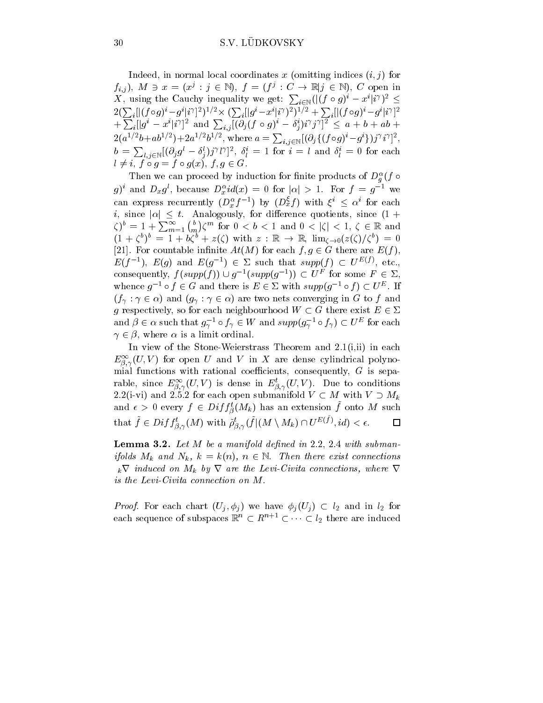Indeed, in normal local coordinates x (omitting indices  $(i, j)$  for  $f_{i,j}$ ,  $M \ni x = (x_j : j \in \mathbb{N}), \quad j = (j' : C \rightarrow \mathbb{N}) \in \mathbb{N}), \quad C$  open in X, using the Cauchy inequality we get:  $\sum_{i \in \mathbb{N}} (|(f \circ g)^{i} - x^{i} | i^{\gamma})^{2} \leq$  $2(\sum_i[|(f\circ g)^i-g^i|i^\gamma]^2)^{1/2}\times(\sum_i[|g^i-x^i|^{\gamma})^2)^{1/2}+\sum_i[|(f\circ g)^i-g^i|i^\gamma]^2]$  $+\sum_i [|g^i - x^i|i^\gamma]^2$  and  $\sum_{i,j} [(\partial_j (f \circ g)^i - \delta_j^i)i^\gamma j^\gamma]^2 \leq a+b+ab+1$  $2(a^{1/2}b+ab^{1/2})+2a^{1/2}b^{1/2}, \text{ where } a=\sum_{i,j\in \mathbb{N}}[(\partial_{j}\{(f\circ g)^{i}-g^{i}\})j^{\gamma}i^{\gamma}]^{2},$  $b = \sum_{l,j \in \mathbb{N}} [(\partial_j g^l - \delta_j^l) j^\gamma l^\gamma]^2$ ,  $\delta_l^i = 1$  for  $i = l$  and  $\delta_l^i = 0$  for each  $l \neq i, f \circ g = f \circ g(x), f, g \in G.$ 

Then we can proceed by induction for finite products of  $D_{\theta}^{\pi}(f \circ$  $\cdot$ g) and  $D_x g$ , because  $D_x u(x) = 0$  for  $|\alpha| > 1$ . For  $f = g$  we can express recurrently  $(D_x^{\alpha}f^{-1})$  by  $(D_x^{\alpha}f)$  with  $\xi^{\alpha} \leq \alpha^{\alpha}$  for each i, since  $|\alpha| \leq t$ . Analogously, for difference quotients, since  $(1 +$  $\zeta)^b = 1 + \sum_{m=1}^{\infty} {b \choose m} \zeta^m$  for  $0 <$  $\mathcal{C}^m$  for  $0 < b < 1$  and  $0 < |\mathcal{C}| < 1$ ,  $\mathcal{C} \in \mathbb{R}$  and  $(1 + \zeta^2)^2 = 1 + 6\zeta^2 + z(\zeta)$  with  $z : \mathbb{R} \to \mathbb{R}$ ,  $\lim_{\zeta \to 0} (z(\zeta)/\zeta^2) = 0$ [21]. For countable infinite  $At(M)$  for each  $f, g \in G$  there are  $E(f)$ ,  $E(I^{-1})$ ,  $E(q)$  and  $E(q^{-1}) \in \mathbb{Z}$  such that  $supp(I) \subset U^{\perp_{\mathbb{Q}}(f)}$ , etc., consequently, f (supp(f) i)  $Q_1$  = (supp(g) = i)  $Q_1$  for some  $F_1 \in \mathbb{Z}$ , whence  $q \rightarrow$   $\sigma$   $f \in G$  and there is  $E \in \mathcal{L}$  with  $supp(q \rightarrow$   $\sigma$   $f \mid U \cap$ . If  $(f_{\gamma}: \gamma \in \alpha)$  and  $(g_{\gamma}: \gamma \in \alpha)$  are two nets converging in G to f and g respectively, so for each neighbourhood  $W \subset G$  there exist  $E \in \Sigma$ and  $\rho \in \alpha$  such that  $g_{\gamma} \circ f_{\gamma} \in W$  and  $supp(g_{\gamma} \circ f_{\gamma}) \subset U^{\omega}$  for each  $\gamma \in \beta$ , where  $\alpha$  is a limit ordinal.

In view of the Stone-Weierstrass Theorem and  $2.1(i,ii)$  in each  $E_{\tilde{\beta},\gamma}(U,V)$  for open U and V in A are dense cylindrical polynomial functions with rational coefficients, consequently,  $G$  is separable, since  $E_{\tilde{\beta},\gamma}(U,V)$  is dense in  $E_{\tilde{\beta},\gamma}(U,V)$ . Due to conditions 2.2(i-vi) and 2.5.2 for each open submanifold  $V \subset M$  with  $V \supset M_k$ and  $\epsilon > 0$  every  $f \in Dif_J_{\beta}(M_k)$  has an extension f onto M such  $\Box$ that  $f \in Diff^{\epsilon}_{\beta,\gamma}(M)$  with  $\rho^{\epsilon}_{\beta,\gamma}(f|(M \setminus M_k) \cap U^{E(f)}, id) < \epsilon$ . . . . . . .

**Lemma 3.2.** Let  $M$  be a manifold defined in 2.2, 2.4 with submanifolds  $M_k$  and  $N_k$ ,  $\kappa = \kappa(n)$ ,  $n \in \mathbb{N}$ . Then there exist connections  $k$  v induced on  $M_k$  by  $V$  are the Levi-Civita connections, where  $V$  $i$ s the Levi-Civita connection on M.

*Proof.* For each chart  $(U_j, \varphi_j)$  we have  $\varphi_j(U_j) \subset l_2$  and in  $l_2$  for each sequence of subspaces  $\mathbb{R}^n \subset R^{n+1} \subset \cdots \subset l_2$  there are induced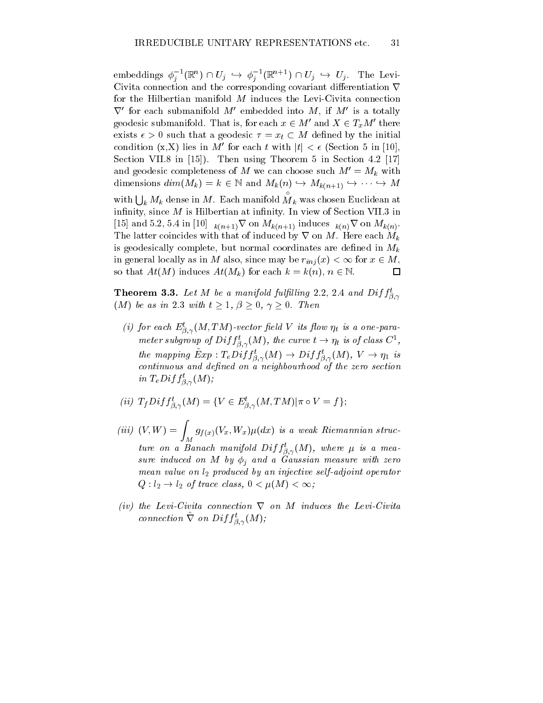embeddings  $\varphi_j$  ( $\mathbb{R}^n$ )  $\vdash U_j \rightarrow \varphi_j$  ( $\mathbb{R}^{n+1}$ )  $\vdash U_j \rightarrow U_j$ . The LevijjCivita connection and the corresponding covariant differentiation  $\nabla$ for the Hilbertian manifold  $M$  induces the Levi-Civita connection  $\vee$  for each submanifold  $M$  embedded into  $M$ , if  $M$  is a totally geodesic submanifold. That is, for each  $x \in M'$  and  $X \in T_xM'$  there exists  $\epsilon > 0$  such that a geodesic  $\tau = x_t \subset M$  defined by the initial condition  $(x, X)$  lies in M' for each t with  $|t| < \epsilon$  (Section 5 in [10], Section VII.8 in [15]). Then using Theorem 5 in Section 4.2 [17] Section VII.8 in [15]). Then using Theorem 5 in Section 4.2 [17]<br>and geodesic completeness of M we can choose such  $M' = M_k$  with<br>dimensions  $dim(M_k) = k \in \mathbb{N}$  and  $M_k(n) \hookrightarrow M_{k(n+1)} \hookrightarrow \cdots \hookrightarrow M$ and geodesic completeness of M we can choose such  $M = M_k$  with with  $\bigcup_k M_k$  dense in M. Each manifold  $M_k$  was chosen Euclidean at  $\cdot$ infinity, since  $M$  is Hilbertian at infinity. In view of Section VII.3 in [15] and 5.2, 5.4 in [10]  $k(n+1)$  V on  $M_k(n+1)$  induces  $k(n)$  V on  $M_k(n)$ . The latter coincides with that of induced by  $\nabla$  on M. Here each  $M_k$ is geodesically complete, but normal coordinates are defined in  $M_k$ in general locally as in M also, since may be  $r_{inj}(x) < \infty$  for  $x \in M$ , so that  $At(M)$  induces  $At(M_k)$  for each  $k = k(n)$ ,  $n \in \mathbb{N}$ .  $\Box$ 

**Theorem 3.3.** Let M be a manifold fulfilling 2.2, 2.4 and  $Diff^t_{\beta,\gamma}$ . . .  $(M)$  be as in 2.3 with  $t \geq 1, \beta \geq 0, \gamma \geq 0$ . Then

(i) for each  $E_{\beta,\gamma}^s(M,1|M)$ -vector field V its flow  $\eta_t$  is a one-para-. . . meter subgroup of  $D^{i}Jf_{\beta,\gamma}(M)$ , the curve  $t\to \eta_t$  is of class  $C^{\pi},$ . . . the mapping  $Exp: I_eDif_{\beta,\gamma}(M) \to Dif_{\beta,\gamma}(M), V \to \eta_1$  is continuous and dened on <sup>a</sup> neighbourhood of the zero section  $\int^n L \, e^{j \ln \int \mathcal{B}, \gamma(M)}$ 

(ii) 
$$
T_fDiff^t_{\beta,\gamma}(M) = \{V \in E^t_{\beta,\gamma}(M,TM)|\pi \circ V = f\};
$$

- (iii) $(V,W) = \int_M g_{f(x)}(V_x,W_x)\mu(dx)$  is a weak Riemannian structure on a Banach manifold  $Diff_{\beta,\gamma}(M)$ , where  $\mu$  is a measure induced on M by j planned a Gaussian measure with zero. mean value on l2 produced by an injective self-adjoint operator  $Q: l_2 \to l_2$  of trace class,  $0 < \mu(M) < \infty$ ;
- $\it (iv)$  the Levi-Civita connection  $\it V$  on  $\it M$  induces the Levi-Civita connection  $V$  on  $Dif_{\beta, \gamma}(M);$

. . .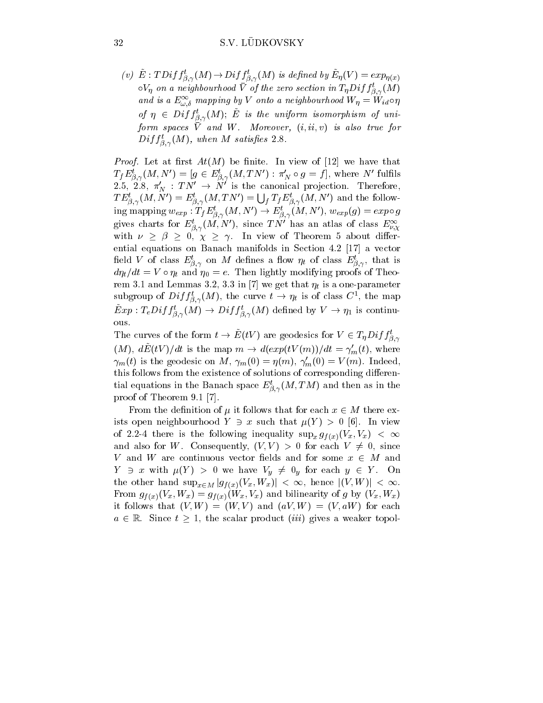$(v)$   $E: I$   $D$  i  $J$   $j$   $_{\beta,\gamma}$   $(M)$   $\rightarrow$   $D$  i  $J$   $j$   $_{\beta,\gamma}$   $(M)$  is defined by  $E_{\eta}(V) = exp_{\eta(x)}$  $\circ v_\eta$  on a neignoournood v of the zero section in I $_\eta D$ if  $f_{\beta,\gamma}$ (M) . . . and is a  $E_{\omega,\delta}^{\perp}$  mapping by V onto a neighbourhood  $W\eta = W_{id}$ o $\eta$  $\omega_j$   $\eta \in D$ ij  $\hat{\beta}_{,\gamma}(M)$ ; E is the uniform isomorphism of uniform spaces  $V$  and  $W$ . Dividency  $(i, i, v, v)$  is also true for  $v$  $D$ ujj $_{\beta,\gamma}$ (M), when M satisfies 2.8. . . .

 $\mathbf{P}$  , and the contract at  $\mathbf{P}$  at  $\mathbf{P}$  at  $\mathbf{P}$  and  $\mathbf{P}$  and  $\mathbf{P}$  are that the that that the  $\mathbf{P}$  $T_f E_{\beta,\gamma}(M,N) = [g \in E_{\beta,\gamma}(M,I,N) : \pi_N \circ g = J],$  where N fulfills 2.5, 2.8,  $\pi_N : \text{IN} \rightarrow \text{N}$  is the canonical projection. Therefore,  $TE^t_{\beta,\gamma}(M,N') = E^t_{\beta,\gamma}(M,TN') = \bigcup_f T_f E^t_{\beta,\gamma}(M,N')$  and the following mapping  $w_{exp}: I_f E_{\beta,\gamma}(M,N) \to E_{\beta,\gamma}(M,N)$ ,  $w_{exp}(g) = exp \circ g$ gives charts for  $E_{\beta,\gamma}(M,N)$ , since T N and at atlas of class  $E_{\nu,\chi}$ ; with  $\nu \ge \beta \ge 0, \chi \ge \gamma$ . In view of Theorem 5 about differential equations on Banach manifolds in Section 4.2 [17] a vector held V of class  $E_{\beta,\gamma}$  on M defines a now  $\eta_t$  of class  $E_{\beta,\gamma}$ , that is  $a\eta_t/a\tau = v \circ \eta_t$  and  $\eta_0 = e$ . Then lightly modifying proofs of Theorem 3.1 and Lemmas 3.2, 3.3 in  $\sim$  3.3 in  $\sim$  1.3 in  $\sim$  1.3 in  $\sim$  1.3 in  $\sim$  parameters  $\sim$  1.3 in  $\sim$  1.3 in  $\sim$  1.3 in  $\sim$  1.3 in  $\sim$  1.3 in  $\sim$  1.3 in  $\sim$  1.3 in  $\sim$  1.3 in  $\sim$  1.3 in  $\sim$  1.3 in  $\sim$  1 subgroup of  $Diff_{\beta,\gamma}(M)$ , the curve  $t \to \eta_t$  is of class C<sup>-</sup>, the map  $Exp: I_e \rightarrow I_g$   $\rightarrow$   $N_I J_{\beta,\gamma}(M)$  defined by  $V \rightarrow \eta_1$  is continu-; ; ous.

The curves of the form  $t \to E(tV)$  are geodesics for  $V \in I_{\eta} D^{t} J J_{\beta,\gamma}$  $(M)$ ,  $aE(tV)/at$  is the map  $m \to a(exp(tV(m))/at = \gamma_m(t)$ , where  $\gamma_m(t)$  is the geodesic on M,  $\gamma_m(0) = \eta(m)$ ,  $\gamma'_m(0) = V(m)$ . Indeed, this follows from the existence of solutions of corresponding differential equations in the Banach space  $E_{\beta,\gamma}(M,I|M)$  and then as in the . . . proof of Theorem 9.1 [7].

From the definition of  $\mu$  it follows that for each  $x \in M$  there exists open neighbourhood  $Y \ni x$  such that  $\mu(Y) > 0$  [6]. In view of 2.2-4 there is the following inequality  $\sup_x g_{f(x)}(V_x, V_x) < \infty$ and also for W. Consequently,  $(V, V) > 0$  for each  $V \neq 0$ , since V and W are continuous vector fields and for some  $x \in M$  and  $Y \ni x$  with  $\mu(Y) > 0$  we have  $V_y \not\equiv 0_y$  for each  $y \in Y$ . On the other hand  $\sup_{x\in M} |g_{f(x)}(V_x, W_x)| < \infty$ , hence  $|(V, W)| < \infty$ .  $\tau$ ר (עריך קוויר)  $\tau$ י (עריך קוויר) ווערך מינוע מינוע מינוע (עריך קוויר) ווערך מינוע מינוע מינוע מינוע מינוע it follows that  $(V, W) = (W, V)$  and  $(aV, W) = (V, aW)$  for each  $a \in \mathbb{R}$ . Since  $t \geq 1$ , the scalar product *(iii)* gives a weaker topol-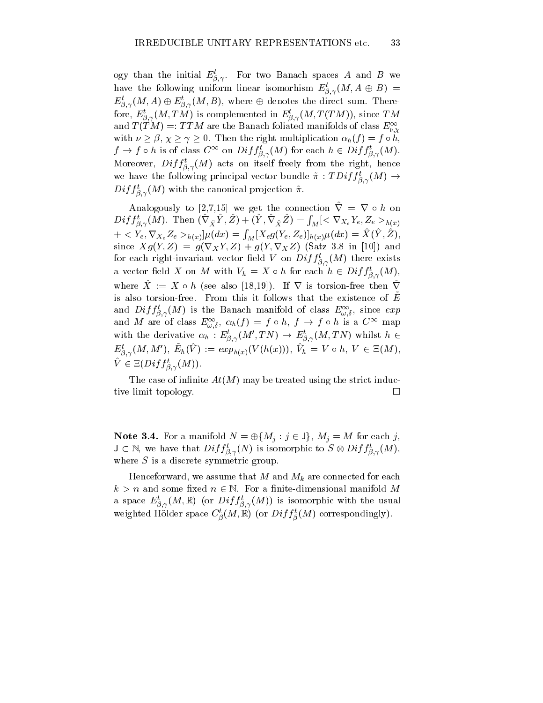ogy than the initial  $E_{\tilde{B},\gamma}$ . For two Banach spaces A and B we ; have the following uniform linear isomorhism  $E_{\beta,\gamma}(M, A \oplus B)$  =  $E_{\beta,\gamma}(M,A)\oplus E_{\beta,\gamma}(M,B),$  where  $\oplus$  denotes the direct sum. Therefore,  $E_{\beta,\gamma}(M,\mathcal{I},M)$  is complemented in  $E_{\beta,\gamma}(M,\mathcal{I}(TM))$ , since TM and  $T(TM) =: TTM$  are the Banach foliated manifolds of class  $E_{\nu, \chi}$ with  $\nu \geq \beta, \chi \geq \gamma \geq 0$ . Then the right multiplication  $\alpha_h(f) = f \circ h$ ,  $f \to f \circ h$  is of class  $C^+$  on  $Dif f_{\beta,\gamma}(M)$  for each  $h \in Dif f_{\beta,\gamma}(M)$ . . . . ; Moreover,  $Diff_{\beta,\gamma}(M)$  acts on itself freely from the right, hence ; we have the following principal vector bundle  $\pi : I \mathcal{D}ij J_{\beta,\gamma}(M) \rightarrow$  $Dij \, j_{\beta,\gamma}(M)$  with the canonical projection  $\pi$ .

;

. . .

Analogously to [2,7,15] we get the connection  $\hat{\nabla} = \nabla \circ h$  on  $Diff_{\beta,\gamma}^t(M)$ . Then  $(\nabla_{\hat{X}}Y,\hat{Z}) + (\hat{Y}, \nabla_{\hat{X}}\hat{Z}) = \int_M [<\nabla_{X_e}Y_e, Z_e >h(x)]$  $+ < Y_e, \nabla_{X_e} Z_e >_{h(x)} \mu(dx) = \int_M [X_e g(Y_e, Z_e)]_{h(x)} \mu(dx) = X(\hat{Y}, \hat{Z}),$ since  $\Delta g(Y,Z) = g(Y \chi Y,Z) + g(Y, \nabla XZ)$  (Satz 3.8 in [10]) and for each right-invariant vector neid  $V$  on  $D^{i}f$   $j_{\beta,\gamma}(M)$  there exists a vector field  $\Lambda$  on M with  $V_h = \Lambda \circ h$  for each  $h \in Dif \hat{f}_{\beta,\gamma}(M),$ where  $\Lambda := \Lambda \circ \mathfrak{h}$  (see also [18,19]). If  $V$  is torsion-free then  $V$ is also torsion-free. From this it follows that the existence of  $E~$ and  $D^{i}J\tilde{f}^{\beta}_{\beta,\gamma}(M)$  is the Banach manifold of class  $E^{\infty}_{\omega,\delta}$ , since  $exp$ and M are of class  $E^{\infty}_{\omega,\delta}$ ,  $\alpha_h(f) = f \circ h$ ,  $f \to f \circ h$  is a  $C^{\infty}$  map with the derivative  $\alpha_h : E_{\beta,\gamma}(M, T_N) \to E_{\beta,\gamma}(M, T_N)$  whilst  $h \in$  $E_{\beta,\gamma}(M,M)$ ,  $E_h(V) := exp_{h(x)}(V (h(x))), V_h = V \circ h, V \in \Xi(M),$  $V \in \Xi(U^{ij} J_{\beta, \gamma}(M)).$ 

The case of infinite  $At(M)$  may be treated using the strict inductive limit topology.

**Note 5.4.** For a manifold  $N = \oplus \{M_j : j \in J\}$ ,  $M_j = M$  for each j,  $J \subset \mathbb{N}$ , we have that  $D^{i}J J_{\beta,\gamma}(N)$  is isomorphic to  $S \otimes D^{i}J J_{\beta,\gamma}(N)$ , where  $S$  is a discrete symmetric group.

 $\mathbf{h}$  $k > n$  and some fixed  $n \in \mathbb{N}$ . For a finite-dimensional manifold M a space  $E_{\hat{\beta}, \gamma}(M, \mathbbmss{N})$  (or  $Dij \int_{\hat{\beta}, \gamma}(M)$ ) is isomorphic with the usual weighted Holder space  $C_{\beta}(M,\mathbb{R})$  (or  $Diff_{\beta}(M)$  correspondingly).

 $\sim$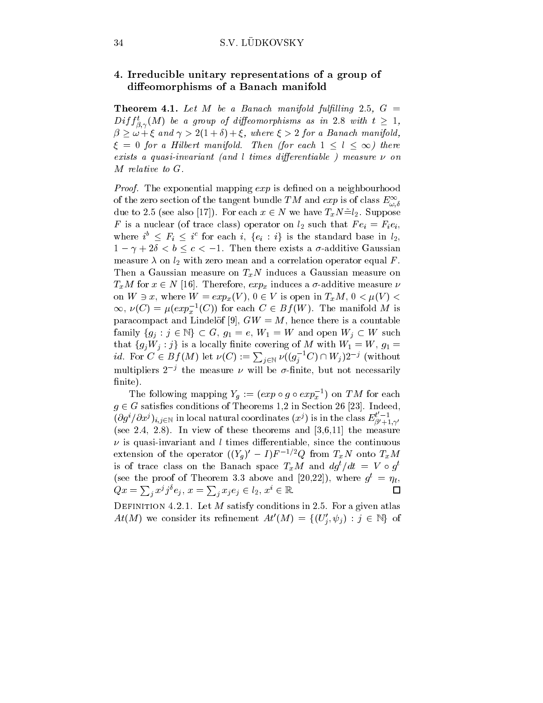## 34 S.V. LÜDKOVSKY

# $\mathcal{L}$  . Irreducible unitary representations of a group of  $\mathcal{L}$ diese voes van passoase van die Gestuur die Servesie van die V

**Theorem 4.1.** Let M be a Banach manifold fulfilling 2.5,  $G =$  $D$ ij j<sub> $\beta$ . $\gamma$ </sub>(M) be a group of aiffeomorphisms as in 2.8 with  $t \geq 1$ , ;  $\beta \geq \omega + \xi$  and  $\gamma > 2(1+\delta) + \xi$ , where  $\xi > 2$  for a Banach manifold,  $\xi = 0$  for a Hilbert manifold. Then (for each  $1 \leq l \leq \infty$ ) there exists <sup>a</sup> quasi-invariant (and l times dierentiable ) measure on

*Proof.* The exponential mapping  $exp$  is defined on a neighbourhood of the zero section of the tangent bundle TM and  $\exp$  is of class  $E_{\omega,\delta}^{\infty}$ ... due to 2.5 (see also [17]). For each  $x \in N$  we have  $T_xN=_{2}$ . Suppose F is a nuclear (of trace class) operator on  $l_2$  such that  $Fe_i = Fe_i$ , where  $i^* \leq r_i \leq i^*$  for each  $i, \{e_i : i\}$  is the standard base in  $i_2$ ,  $1 - \gamma + 2\delta < b \leq c < -1$ . Then there exists a  $\sigma$ -additive Gaussian measure  $\lambda$  on  $l_2$  with zero mean and a correlation operator equal F. Then a Gaussian measure on  $T_xN$  induces a Gaussian measure on  $T_xM$  for  $x \in N$  [16]. Therefore,  $exp_x$  induces a  $\sigma$ -additive measure  $\nu$ on  $W \ni x$ , where  $W = exp_x(V)$ ,  $0 \in V$  is open in  $T_xM$ ,  $0 < \mu(V)$  $\infty, \nu(C) = \mu(exp_x^{-1}(C))$  for each  $C \in B_J(w)$ . The manifold M is  $\sim$ paracompact and Lindelöf [9],  $GW = M$ , hence there is a countable family  $\{g_j : j \in \mathbb{N}\} \subset G$ ,  $g_1 = e$ ,  $W_1 = W$  and open  $W_j \subset W$  such that  $\{g_j w_j : j \}$  is a locally finite covering of M with  $w_1 = w, g_1 = w$ *id.* For  $C \in Bf(M)$  let  $\nu(C) := \sum_{j \in \mathbb{N}} \nu((g_j^{-1}C) \cap W_j)2^{-j}$  (without multipliers  $2^{-j}$  the measure  $\nu$  will be  $\sigma$ -finite, but not necessarily finite).

The following mapping  $Y_g := (exp \circ g \circ exp_x^{-1})$  on TM for each  $g \in G$  satisfies conditions of Theorems 1,2 in Section 26 [23]. Indeed,  $(\partial g^i/\partial x^j)_{i,j\in\mathbb{N}}$  in local natural coordinates  $(x^j)$  is in the class  $E^{i-1}_{\alpha'+1,\alpha'}$  $U+1$ ;  $T$ (see 2.4, 2.8). In view of these theorems and  $[3,6,11]$  the measure  $\nu$  is quasi-invariant and l times differentiable, since the continuous extension of the operator  $((Y_g) - I)F^{-\gamma}Q$  from  $T_xN$  onto  $T_xM$ is of trace class on the Banach space  $T_xM$  and  $a\bar{q}^2/a\bar{t}=\bar{V} \circ \bar{q}^2$ (see the proof of Theorem 3.3 above and  $[20,22]$ ), where  $q^* = \eta_t$ ,  $Qx = \sum_{j} x^{j} j^{o} e_{j}, x = \sum_{j} x_{j} e_{j} \in l_{2}, x^{i} \in \mathbb{R}.$ 口

DEFINITION 4.2.1. Let  $M$  satisfy conditions in 2.5. For a given atlas  $At(M)$  we consider its refinement  $At(M) = \{ (U_j, \psi_j) : j \in \mathbb{N} \}$  of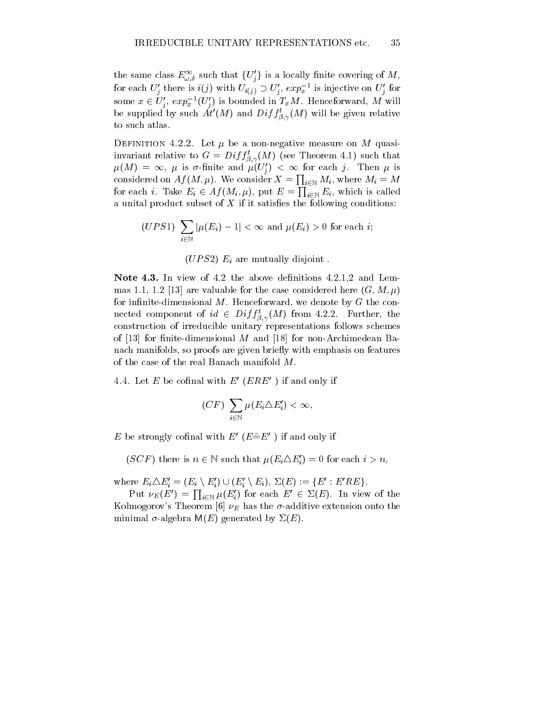the same class  $E_{\omega, \delta}$  such that  $\{U_j\}$  is a locally influe covering of M, for each  $U_j$  there is  $i(j)$  with  $U_{i(j)} \supset U_j$ ,  $exp_x$  is injective on  $U_j$  for some  $x \in U_j$ ,  $exp_x^{-1}(U_j)$  is bounded in  $T_xM$ . Henceforward, M will be supplied by such At  $(M)$  and  $Diff_{\beta,\gamma}(M)$  will be given relative . . . to such atlas.

DEFINITION 4.2.2. Let  $\mu$  be a non-negative measure on M quasiinvariant relative to  $G = \nu_{ij} f_{\beta,\gamma}(M)$  (see Theorem 4.1) such that  $\mu(M) = \infty$ ,  $\mu$  is  $\sigma$ -nifice and  $\mu(U_i) < \infty$  for each j. Then  $\mu$  is considered on  $Af(M, \mu)$ . We consider  $X = \prod_{i \in \mathbb{N}} M_i$ , where  $M_i = M$ for each *i*. Take  $E_i \in Af(M_i, \mu)$ , put  $E = \prod_{i \in \mathbb{N}} E_i$ , which is called a unital product subset of  $X$  if it satisfies the following conditions:

$$
(UPS1) \sum_{i \in \mathbb{N}} |\mu(E_i) - 1| < \infty \text{ and } \mu(E_i) > 0 \text{ for each } i;
$$

 $\mathcal{U} \subset \mathcal{U} \subset \mathcal{U}$  are mutually distortionally distorted in the  $\mathcal{U} \subset \mathcal{U}$ 

Note 4.3. In view of 4.2 the above definitions  $4.2.1,2$  and Lemmas 1.1, 1.2 [13] are valuable for the case considered here  $(G, M, \mu)$ for infinite-dimensional  $M$ . Henceforward, we denote by  $G$  the connected component of  $ia \in Dif_{\beta, \gamma}(M)$  from 4.2.2. Further, the . . . construction of irreducible unitary representations follows schemes of  $[13]$  for finite-dimensional M and  $[18]$  for non-Archimedean Banach manifolds, so proofs are given briefly with emphasis on features of the case of the real Banach manifold M.

4.4. Let E be cofinal with  $E'$  (ERE<sup> $\prime$ </sup>) if and only if

$$
(CF) \sum_{i \in \mathbb{N}} \mu(E_i \triangle E_i') < \infty,
$$

E be strongly cofinal with  $E'(E=E')$  if and only if

 $(SCF)$  there is  $n \in \mathbb{N}$  such that  $\mu(E_i \Delta E_i') = 0$  for each  $i > n$ ,

where  $E_i \triangle E_i = (E_i \setminus E_j) \cup (E_i \setminus E_i), 2(E) := \{E : E E E\}.$ 

Put  $\nu_E(E') = \prod_{i \in \mathbb{N}} \mu(E'_i)$  for each  $E' \in \Sigma(E)$ . In view of the Kolmogorov's Theorem [6]  $\nu_E$  has the  $\sigma$ -additive extension onto the minimal  $\sigma$ -algebra  $M(E)$  generated by  $\Sigma(E)$ .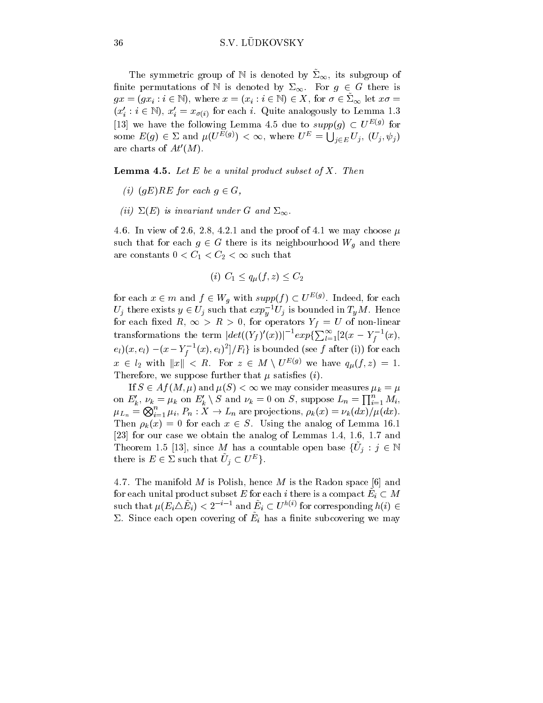The symmetric group of N is denoted by  $\Sigma_{\infty}$ , its subgroup of finite permutations of N is denoted by  $\Sigma_{\infty}$ . For  $g \in G$  there is  $gx = (gx_i : i \in \mathbb{N})$ , where  $x = (x_i : i \in \mathbb{N}) \in \Lambda$ , for  $\sigma \in \Lambda_{\infty}$  let  $x\sigma =$  $(x_i : i \in \mathbb{N})$ ,  $x_i = x_{\sigma(i)}$  for each i. Quite analogously to Lemma 1.3 [13] we have the following Lemma 4.5 due to  $supp(g) \subset U^{E(g)}$  for some  $E(g) \in \Sigma$  and  $\mu(U^{E(g)}) < \infty$ , where  $U^E = \bigcup_{j \in E} U_j$ ,  $(U_j, \psi_j)$ are charts of  $At'(M)$ .

**Lemma 4.5.** Let  $E$  be a unital product subset of  $X$ . Then

- (i)  $(qE)KL$  for each  $q \in G$ ,
- $\sum_{i=1}^{\infty}$  is the and under  $G$  and  $\sum_{i=1}^{\infty}$ .

4.6. In view of 2.6, 2.8, 4.2.1 and the proof of 4.1 we may choose  $\mu$ such that for each  $g \in G$  there is its neighbourhood  $W_g$  and there are constants  $0 < C_1 < C_2 < \infty$  such that

$$
(i) C_1 \le q_\mu(f, z) \le C_2
$$

for each  $x \in m$  and  $f \in W_g$  with  $supp(f) \subset U^{\omega(g)}$ . Indeed, for each  $U_j$  there exists  $y \in U_j$  such that  $exp_y^-U_j$  is bounded in  $T_yM$ . Hence for each fixed  $R, \infty > R > 0$ , for operators  $Y_f = U$  of non-linear transformations the term  $|det((Y_f)'(x))|^{-1}exp{\{\sum_{l=1}^{\infty}[2(x-Y_f^{-1}(x))\}})$  $(e_l)(x,e_l) - (x - Y_f^{-1}(x),e_l)^2]/F_l$  is bounded (see f after (i)) for each  $x \in l_2$  with  $||x|| < R$ . For  $z \in M \setminus U^{E(g)}$  we have  $q_{\mu}(f, z) = 1$ . Therefore, we suppose further that  $\mu$  satisfies (*i*).

If  $S \in A_f$  (M;  $\mu$ ) and  $\mu(S) < \infty$  we may consider measures  $\mu_k = \mu$ on  $E'_k$ ,  $\nu_k = \mu_k$  on  $E'_k \setminus S$  and  $\nu_k = 0$  on S, suppose  $L_n = \prod_{i=1}^n M_i$ ,  $\mu_{L_n} = \bigotimes_{i=1}^n \mu_i, P_n : X \to L_n \text{ are projections, } \rho_k(x) = \nu_k(dx)/\mu(dx).$ Then  $\rho_k(x) = 0$  for each  $x \in S$ . Using the analog of Lemma 16.1 [23] for our case we obtain the analog of Lemmas 1.4, 1.6, 1.7 and Theorem 1.5 [13], since M has a countable open base  $\{U_j: j \in \mathbb{N}\}$ there is  $E \in \mathcal{L}$  such that  $U_j \subset U^-\}$ .

4.7. The manifold M is Polish, hence M is the Radon space [6] and for each unital product subset  $E$  for each  $i$  there is a compact  $E_i\subset M$ such that  $\mu(E_i \triangle E_i) \leq 2$  in and  $E_i \subseteq U^{n_{i,j}}$  for corresponding  $n(i) \in$  $\omega$ . Since each open covering or  $E_i$  has a nifice subcovering we may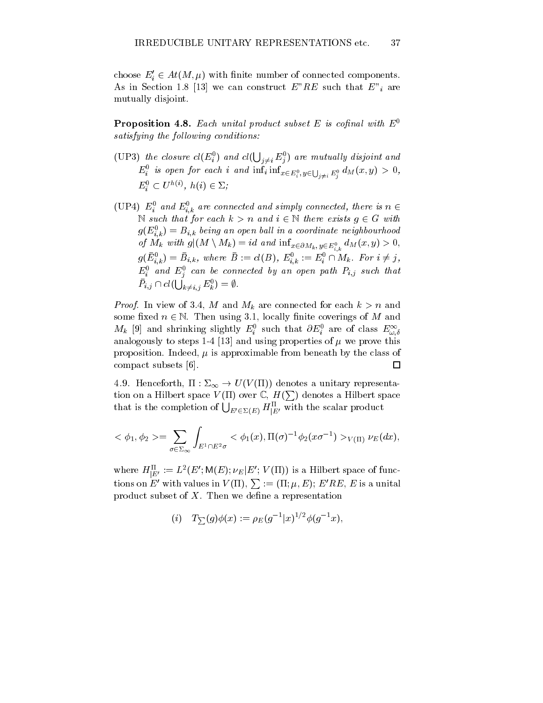choose  $E_i \in At(M, \mu)$  with finite number of connected components. As in Section 1.8 [13] we can construct E Re such that  $\mathbb{R}^n$  are  $\mathbb{R}^n$ mutually disjoint.

**Proposition 4.8.** Each unital product subset E is cofinal with  $E^0$ satisfying the following conditions.

- (UP3) the closure  $cl(E_i^0)$  and  $cl(\bigcup_{j\neq i} E_j^0)$  are mutually disjoint and  $E_i$  is open for each i and  $\min_i \min_{x \in E_i^0, y \in \bigcup_{j \neq i} E_j^0} a_{M}(x, y) > 0$ , the contract of the contract of the contract of the contract of the contract of the contract of the contract of  $E_i \subseteq U \cap \{i\}, n(i) \in \mathbb{Z}$ ;
- (UP4)  $E_i$  and  $E_{i,k}$  are connected and simply connected, there is  $n \in$  $...$ N such that for each  $k>n$  and  $i \in \mathbb{N}$  there exists  $g \in G$  with  $g(\boldsymbol{E}_{i,k}^{\top})=\boldsymbol{D}_{i,k}$  being an open ball in a coordinate neighbourhood of  $M_k$  with  $g|(M \setminus M_k) = ia$  and  $\text{int}_{x \in \partial M_k}$ ,  $y \in E_{i,k}^0$   $a_M(x, y) > 0$ ,  $g(E_{i,k}) = B_{i,k}$ , where  $B := ct(D)$ ,  $E_{i,k} := E_i + M_k$ . For  $i \neq j$ ,  $E_i$  and  $E_j^{\pm}$  can be connected by an open path  $F_{i,j}$  such that  $P_{i,j} \cap cl(\bigcup_{k \neq i,j} E^0_k) = \emptyset$ .  $\cdot$  .

Proof. In view of 3.4, M and Mk are connected for each k>n and some fixed  $n \in \mathbb{N}$ . Then using 3.1, locally finite coverings of M and  $m_k$  [9] and shrinking slightly  $E_i$  such that  $\partial E_i$  are of class  $E_{\omega,\delta}$  $\sim$  ;  $\sim$ and a step is steps 1-4  $\pm$  [13] and using properties of  $\mu$  and  $\mu$  and  $\mu$ proposition. Indeed,  $\mu$  is approximable from beneath by the class of compact subsets [6]. □

4.9. Henceforth,  $\Pi : \Sigma_{\infty} \to U(V(\Pi))$  denotes a unitary representation on a Hilbert space  $V(\Pi)$  over  $\mathbb{C}$ ,  $H(\sum)$  denotes a Hilbert space that is the completion of  $\bigcup_{E' \in \Sigma(E)} H^{\Pi}_{|E'}$  with the scalar product

$$
\langle \phi_1, \phi_2 \rangle = \sum_{\sigma \in \Sigma_{\infty}} \int_{E^1 \cap E^2 \sigma} \langle \phi_1(x), \Pi(\sigma)^{-1} \phi_2(x\sigma^{-1}) \rangle_{V(\Pi)} \nu_E(dx),
$$

where  $H_{[E]}^{\perp}:=L^{-}(E\,;\mathsf{W}(E);\nu_{E}|E\,;\,\nu_{E}|1I))$  is a Hilbert space of functions on E' with values in  $V(\Pi), \sum := (\Pi; \mu, E); E'RE, E$  is a unital product subset of  $X$ . Then we define a representation

$$
(i) \quad T_{\sum}(g)\phi(x) := \rho_E(g^{-1}|x)^{1/2}\phi(g^{-1}x),
$$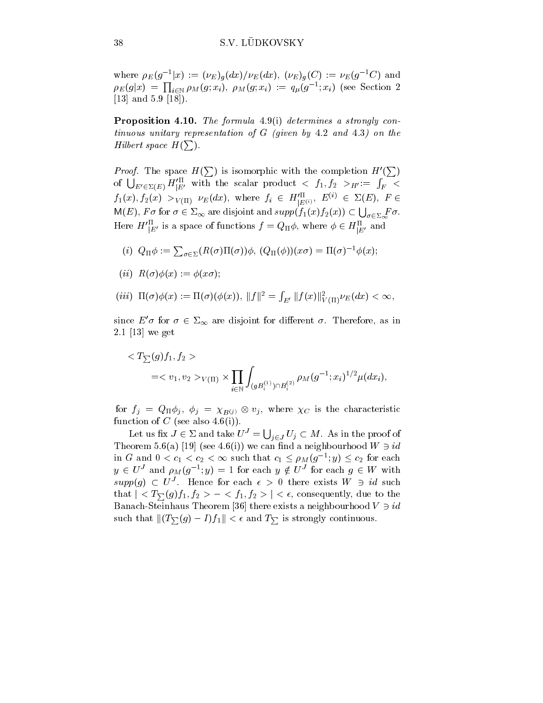where  $\rho_E(g^{-1}x) := (\nu_E)_{g}(ax)/\nu_E(ax)$ ,  $(\nu_E)_{g}(C) := \nu_E(g^{-1}C)$  and  $\rho_E(g|x) \ = \ \prod_{i \in \mathbb{N}} \rho_M(g; x_i), \ \rho_M(g; x_i) \ := \ q_\mu(g^{-1}; x_i) \ \ (\text{see Section 2})$ [13] and 5.9 [18]).

Proposition 4.10. The formula 4.9(i) determines a strongly continuous unitary representation of G (given by 4.2 and 4.3) on the Hilbert space  $H(\sum)$ .

*Proof.* The space  $H(\sum)$  is isomorphic with the completion  $H'(\sum)$  $\mathbf{I}$  and  $\mathbf{I}$  and  $\mathbf{I}$  and  $\mathbf{I}$  and  $\mathbf{I}$  and  $\mathbf{I}$  and  $\mathbf{I}$  and  $\mathbf{I}$  and  $\mathbf{I}$  and  $\mathbf{I}$  and  $\mathbf{I}$  and  $\mathbf{I}$  and  $\mathbf{I}$  and  $\mathbf{I}$  and  $\mathbf{I}$  and  $\mathbf{I}$  and  $\mathbf{I}$  and of  $\bigcup_{E' \in \Sigma(E)} H'^{\Pi}_{|E'}$  with the scalar product  $\langle f_1, f_2 \rangle_{H'} := \int_F \langle f_1, f_2 \rangle_{H'}$  $f_1(x), f_2(x) > V(\Pi)$   $\nu_E(ax),$  where  $f_i \in H_{|E(i)|}$ ,  $E^{(i)} \in \Sigma(E),$   $F \in \Sigma(E)$  $\mathsf{M}(E), F \sigma$  for  $\sigma \in \Sigma_{\infty}$  are disjoint and  $supp(f_1(x)f_2(x)) \subset \bigcup_{\sigma \in \Sigma_{\infty}} F \sigma$ . Here  $H^{\dagger}_{[E']}$  is a space of functions  $f = Q_{\Pi} \phi$ , where  $\phi \in H^{\dagger}_{[E']}$  and

(i) 
$$
Q_{\Pi}\phi := \sum_{\sigma \in \Sigma} (R(\sigma)\Pi(\sigma))\phi
$$
,  $(Q_{\Pi}(\phi))(x\sigma) = \Pi(\sigma)^{-1}\phi(x)$ ;

- (ii)  $R(\sigma)\phi(x) := \phi(x\sigma);$
- $(iii) \ \ \Pi(\sigma)\phi(x) := \Pi(\sigma)(\phi(x)), \ \|f\|^2 = \int_{E'} \|f(x)\|^2_{V(\Pi)} \nu_E(dx) < \infty,$ V

since  $E' \sigma$  for  $\sigma \in \Sigma_{\infty}$  are disjoint for different  $\sigma$ . Therefore, as in 2.1 [13] we get

$$
\langle T_{\sum}(g) f_1, f_2 \rangle
$$
  
= $v_1, v_2 >_{V(\Pi)} \times \prod_{i \in \mathbb{N}} \int_{(gB_i^{(1)}) \cap B_i^{(2)}} \rho_M(g^{-1}; x_i)^{1/2} \mu(dx_i),$ 

for  $f_j = Q_{\Pi} \varphi_j$ ,  $\varphi_j = \chi_{B(j)} \otimes v_j$ , where  $\chi_C$  is the characteristic function of C (see also  $4.6(i)$ ).

Let us fix  $J \in \Sigma$  and take  $U^J = \bigcup_{j \in J} U_j \subset M$ . As in the proof of I heorem 5.6(a) [19] (see 4.6(1)) we can find a neighbourhood  $W \ni u$ in G and  $0 < c_1 < c_2 < \infty$  such that  $c_1 \le \rho_M(g^{-1}; y) \le c_2$  for each  $y \in U^{\circ}$  and  $\rho_M(g^{-1}; y) = 1$  for each  $y \notin U^{\circ}$  for each  $g \in W$  with  $supp(u) \subset U$ . Hence for each  $\epsilon > 0$  there exists  $W \ni u$  such that  $|< T_{\sum}(g) f_1, f_2> - < f_1, f_2> | < \epsilon$ , consequently, due to the Banach-Steinhaus Theorem [36] there exists a neighbourhood  $V \ni id$ such that  $|| (T_{\sum} (g) - I) f_1 || < \epsilon$  and  $T_{\sum}$  is strongly continuous.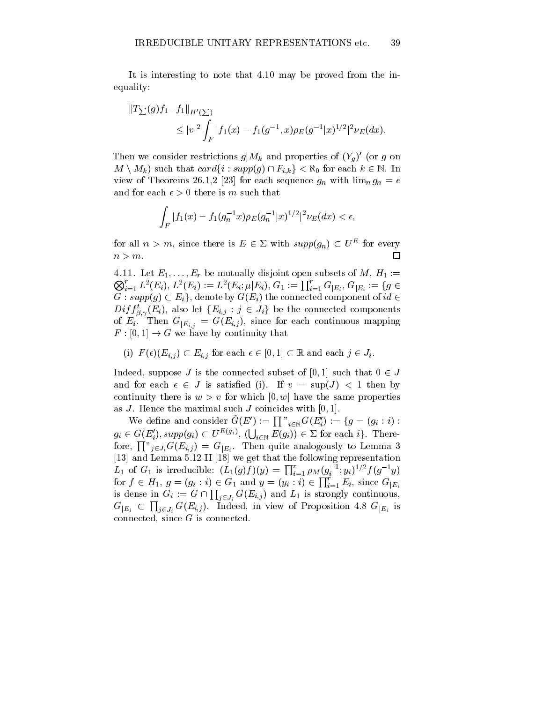It is interesting to note that 4.10 may be proved from the inequality:

$$
\|T_{\sum}(g)f_1 - f_1\|_{H'(\sum)} \le |v|^2 \int_F |f_1(x) - f_1(g^{-1}, x)\rho_E(g^{-1}|x)^{1/2}|^2 \nu_E(dx).
$$

Then we consider restrictions  $g|M_k$  and properties of  $(Y_g)$  (or g on  $M \setminus M_k$ ) such that  $card\{i : supp(g) \cap F_{i,k}\} < \aleph_0$  for each  $k \in \mathbb{N}$ . In view of Theorems 26.1,2  $\sim$  26.1,2  $\sim$  10.11 for each sequence group group  $\sim$  each sequence group group group  $\sim$  experiments and  $\sim$ and for each  $\epsilon > 0$  there is m such that

$$
\int_{F} |f_1(x) - f_1(g_n^{-1}x)\rho_E(g_n^{-1}|x)^{1/2}|^2 \nu_E(dx) < \epsilon,
$$

for all  $n > m$ , since there is  $E \in \Sigma$  with  $supp(q_n) \subset U^-$  for every  $n>m$ . П

4.11. Let E1;:::;Er be mutually disjoint open subsets of M, H1 :=  $\bigotimes_{i=1}^r L^2(E_i),\,L^2(E_i):=L^2(E_i;\mu|E_i),\,G_1:=\prod_{i=1}^r G_{|E_i},\,G_{|E_i}:=\{g\in$  $G: supp(g) \subset E_i$ , denote by  $G(E_i)$  the connected component of  $id \in$  $D^{i}J_{\beta,\gamma}(E_{i}),$  also let  $\{E_{i,j}:j\in J_{i}\}$  be the connected components . . . of  $E_{i,j} = \langle E_{i,j} \rangle$ , since  $F$  . Since  $F$  is the form of each continuous map  $F$  is the continuous map  $F$  is the continuous map  $F$  is the continuous map  $F$  is the continuous map  $F$  is the continuous map  $F$  is the c  $F : [0, 1] \to G$  we have by continuity that

(i) 
$$
F(\epsilon)(E_{i,j}) \subset E_{i,j}
$$
 for each  $\epsilon \in [0,1] \subset \mathbb{R}$  and each  $j \in J_i$ .

Indeed, suppose J is the connected subset of [0, 1] such that  $0 \in J$ and for each  $\epsilon \in J$  is satisfied (i). If  $v = \sup(J) < 1$  then by continuity there is  $w > v$  for which  $[0, w]$  have the same properties as J. Hence the maximal such J coincides with  $[0, 1]$ .

We define and consider  $G(E') := \prod_{i \in \mathbb{N}} G(E_i') := \{g = (g_i : i) :$  $g_i \in G(E'_i), supp(g_i) \subset U^{E(g_i)}, \ (\bigcup_{i \in \mathbb{N}} E(g_i)) \in \Sigma$  for each i}. Therefore,  $\prod$ <sup>"</sup> $_{j\in J_i}G(E_{i,j})\,=\,G_{|E_i}.$  Then quite analogously to Lemma 3 [13] and Lemma 5.12 II [18] we get that the following representation  $L_1$  of  $G_1$  is irreducible:  $(L_1(g)f)(y) = \prod_{i=1}^r \rho_M(g_i^{-1}; y_i)^{1/2} f(g^{-1}y)$ for  $f \in H_1, g = (g_i : i) \in G_1$  and  $y = (y_i : i) \in \prod_{i=1}^r E_i$ , since  $G_{|E_i|}$ is dense in  $G_i := G \cap \prod_{j \in J_i} G(E_{i,j})$  and  $L_1$  is strongly continuous,  $G_{|E_i} \subset \prod_{j \in J_i} G(E_{i,j}).$  Indeed, in view of Proposition 4.8  $G_{|E_i}$  is connected, since G is connected.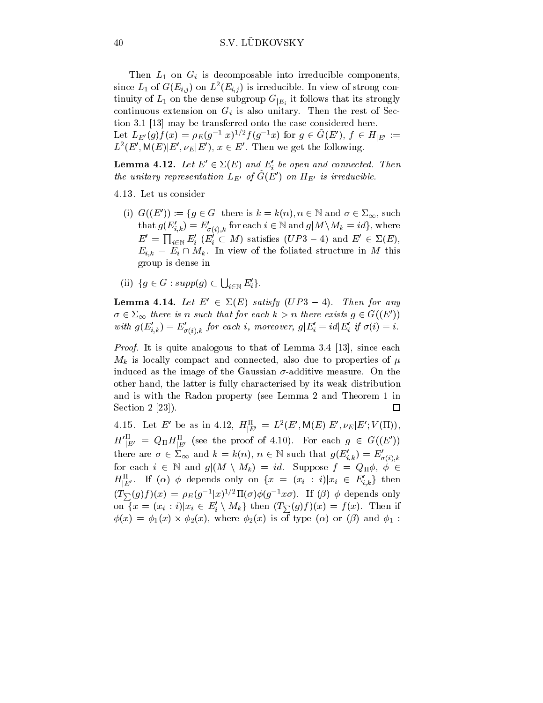Then  $L_1$  on  $G_i$  is decomposable into irreducible components, since  $L_1$  of  $G(E_{i,j})$  on  $L^-(E_{i,j})$  is irreducible. In view of strong continuity of  $L_1$  on the dense subgroup  $G_{|E_i}$  it follows that its strongly continuous extension on Gi is also unitary. Then the rest of Section 3.1 [13] may be transferred onto the case considered here. Let  $L_{E'}(g) f(x) = \rho_E(g^{-1}(x)^{1/2} f(g^{-1}x))$  for  $g \in G(E')$ ,  $f \in H_{|E'} :=$  $L^-(E, M(E)|E|, \nu_E|E|), x \in E$ . Then we get the following.

**Lemma 4.12.** Let  $E \in \Sigma(E)$  and  $E_i$  be open and connected. Then the unitary representation  $L_{E'}$  of  $G(E')$  on  $H_{E'}$  is irreducible.

4.13. Let us consider

- (i)  $G((E')) := \{ g \in G \mid \text{there is } k = k(n), n \in \mathbb{N} \text{ and } \sigma \in \Sigma_{\infty}, \text{such} \}$ that  $g(E'_{i,k}) = E'_{\sigma(i),k}$  for each  $i \in \mathbb{N}$  and  $g|M \setminus M_k = id$ , where  $E' = \prod_{i \in \mathbb{N}} E'_i \ (E'_i \subset M)$  satisfies  $(UP3-4)$  and  $E' \in \Sigma(E)$ ,  $E_{i,k} = E_i \sqcup M_k$ . In view of the foliated structure in M this group is dense in
- (ii)  $\{g \in G : supp(g) \subset \bigcup_{i \in \mathbb{N}} E'_i\}.$

**Lemma 4.14.** Let  $E' \in \Sigma(E)$  satisfy  $(UP3 - 4)$ . Then for any  $\sigma \in \Sigma_{\infty}$  there is n such that for each  $k>n$  there exists  $g \in G((E'))$ with  $g(E_{i,k}) = E_{\sigma(i),k}$  for each i, moreover,  $g|E_i = ia|E_i|$  if  $\sigma(i) = i$ .

Proof. It is quite analogous to that of Lemma 3.4 [13], since each  $\mathbb{R}$  is locally compact and connected, also due to properties of properties of properties of properties of properties of properties of properties of properties of properties of properties of properties of properties o induced as the image of the Gaussian  $\sigma$ -additive measure. On the other hand, the latter is fully characterised by its weak distribution and is with the Radon property (see Lemma 2 and Theorem 1 in Section 2 [23]).  $\Box$ 

4.15. Let E be as in 4.12,  $H_{[E]}^{\perp} = L^2(E, W(E)|E, \nu_E|E; V(H)),$  $H^{\dagger}_{[E']} = Q_{\Pi} H^{\dagger}_{[E']}$  (see the proof of 4.10). For each  $g \in G((E'))$ there are  $\sigma \in \Sigma_{\infty}$  and  $\kappa = \kappa(n)$ ,  $n \in \mathbb{N}$  such that  $g(E_{i,k}) = E_{\sigma(i),k}$ for each  $i \in \mathbb{N}$  and  $g|(M \setminus M_k) = id$ . Suppose  $f = Q_{\Pi}\phi, \phi \in$  $H_{[E]}^{\dagger}$ . If  $(\alpha)$   $\phi$  depends only on  $\{x = (x_i : i)|x_i \in E_{i,k}\}\$  then  $(T\sum (g)f)(x) = \rho_E(g^{-1}x)^{-1} \Pi(\sigma)\phi(g^{-1}x\sigma)$ . If  $(\rho)$   $\phi$  depends only on  $\{x = (x_i : i)|x_i \in E_i \setminus M_k\}$  then  $(I_{\sum}(g)f)(x) = f(x)$ . Then if  $\varphi(x) = \varphi_1(x) \times \varphi_2(x)$ , where  $\varphi_2(x)$  is of type ( $\alpha$ ) or ( $\beta$ ) and  $\varphi_1$ :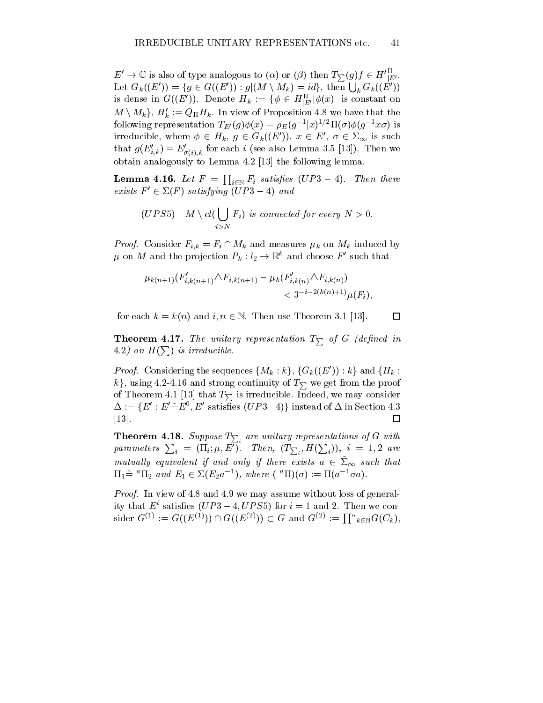$E' \to \mathbb{C}$  is also of type analogous to  $(\alpha)$  or  $(\beta)$  then  $T_{\sum}(g)f \in H'_{|E'}$ . Let  $G_k((E')) = \{ g \in G((E')) : g | (M \setminus M_k) = id \}, \text{ then } \bigcup_k G_k((E'))$ is dense in  $G((E))$ . Denote  $H_k := \{ \phi \in H_{[E']}^{\perp} | \phi(x) \rangle \}$  is constant on  $M \setminus M_k$  ;  $\mathbf{H}_k := \mathcal{Q}_{\Pi} \mathbf{\Pi}_k$ . In view of Proposition 4.8 we have that the following representation  $I_{E'}(q)\varphi(x) = \rho_{E}(q^{-1}x)^{-1} \Pi(\sigma)\varphi(q^{-1}x\sigma)$  is irreducible, where  $\phi \in H_k$ ,  $g \in G_k((E'))$ ,  $x \in E'$ ,  $\sigma \in \Sigma_{\infty}$  is such that  $g(E_{i,k}) = E_{\sigma(i),k}$  for each i (see also Lemma 3.5 [13]). Then we obtain analogously to Lemma 4.2 [13] the following lemma.

**Lemma 4.16.** Let  $F = \prod_{i \in \mathbb{N}} F_i$  satisfies  $(UP3-4)$ . Then there exists  $F \in \Sigma(F)$  satisfying (U P 3  $-$  4) and

$$
(UPS5) \quad M \setminus cl(\bigcup_{i>N} F_i) \text{ is connected for every } N > 0.
$$

*Proof.* Consider  $F_{i,k} = F_i \sqcup M_k$  and measures  $\mu_k$  on  $M_k$  induced by  $\mu$  on M and the projection  $\Gamma_k : \iota_2 \to \mathbb{R}^n$  and choose F such that

$$
|\mu_{k(n+1)}(F'_{i,k(n+1)}\Delta F_{i,k(n+1)} - \mu_k(F'_{i,k(n)}\Delta F_{i,k(n)})|
$$
  
< 
$$
< 3^{-i-2(k(n)+1)}\mu(F_i),
$$

for each  $k = k(n)$  and  $i, n \in \mathbb{N}$ . Then use Theorem 3.1 [13].  $\Box$ 

**Theorem 4.17.** The unitary representation  $T_{\sum}$  of G (defined in 4.2) on  $H(\sum)$  is irreducible.

*Proof.* Considering the sequences  $\{M_k: \kappa\}, \{G_k((E)) : \kappa\}$  and  $\{H_k:$ k}, using 4.2-4.16 and strong continuity of  $T_{\sum}$  we get from the proof of Theorem 4.1 [13] that  $T_{\sum}$  is irreducible. Indeed, we may consider  $\Delta := \{ E : E \equiv E \, , E \,$  satisfies  $(U F 3 = 4) \}$  instead of  $\Delta$  in Section 4.3 [13].  $\Box$ 

**Theorem 4.18.** Suppose  $I_{\sum_i}$  are unitary representations of G with parameters  $\sum_i$  =  $(\Pi_i; \mu, E').$  Then,  $(T_{\sum_i}, H(\sum_i)),$   $i$  = 1,2 are mutually equivalent if and only if there exists  $a~\in~\mathbb{Z}_{\infty}$  such that  $11_1 =$   $11_2$  and  $E_1 \in \Sigma(E_2 a^{-1})$ , where  $($   $11)(\sigma) := 11(a^{-1}\sigma a)$ .

Proof. In view of 4.8 and 4.9 we may assume without loss of generality that  $E^i$  satisfies  $(UP3-4, UPS5)$  for  $i=1$  and 2. Then we consider  $G^{(1)} := G((E^{(1)})) \cap G((E^{(2)})) \subset G$  and  $G^{(2)} := \prod_{k \in \mathbb{N}} G(C_k)$ ,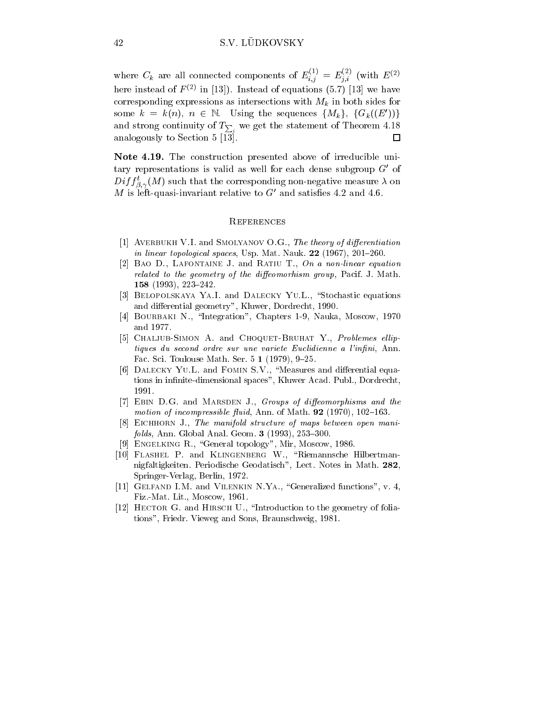where  $C_k$  are all connected components of  $E_{i,j}^{\text{top}} = E_{j,i}^{\text{top}}$  (with  $E^{(2)}$ here instead of  $F^{(2)}$  in [13]). Instead of equations (5.7) [13] we have corresponding expressions as intersections with  $\mathbb{N}$  intersections with  $\mathbb{N}$  in both sides for  $\mathbb{N}$ some  $k = k(n)$ ,  $n \in \mathbb{N}$ . Using the sequences  $\{M_k\}$ ,  $\{G_k((E'))\}$ and strong continuity of  $T_{\sum_i}$  we get the statement of Theorem 4.18 analogously to Section 5  $\overline{13}$ .  $\Box$ 

Note 4.19. The construction presented above of irreducible unitary representations is valid as well for each dense subgroup  $G'$  of  $Dij$   $j_{\beta,\gamma}(M)$  such that the corresponding non-negative measure  $\lambda$  on . . . M is left-quasi-invariant relative to  $G'$  and satisfies 4.2 and 4.6.

#### **REFERENCES**

- [1] AVERBUKH V.I. and SMOLYANOV O.G., The theory of differentiation in linear topological spaces, Usp. Mat. Nauk.  $22$  (1967), 201–260.
- [2] BAO D., LAFONTAINE J. and RATIU T., On a non-linear equation related to the geometry of the diffeomorhism group, Pacif. J. Math. 158 (1993), 223-242.
- [3] BELOPOLSKAYA YA.I. and DALECKY YU.L., "Stochastic equations and differential geometry", Kluwer, Dordrecht, 1990.
- [4] BOURBAKI N., "Integration", Chapters 1-9, Nauka, Moscow, 1970 and 1977.
- [5] CHALJUB-SIMON A. and CHOQUET-BRUHAT Y., Problemes elliptiques du second ordre sur une variete Euclidienne a l'infini, Ann. Fac. Sci. Toulouse Math. Ser.  $5 \; 1 \; (1979), \; 9\text{--}25.$
- [6] DALECKY YU.L. and FOMIN S.V., "Measures and differential equations in infinite-dimensional spaces", Kluwer Acad. Publ., Dordrecht, 1991.
- [7] EBIN D.G. and MARSDEN J., Groups of diffeomorphisms and the motion of incompressible fluid, Ann. of Math.  $92$  (1970), 102-163.
- [8] EICHHORN J., The manifold structure of maps between open mani $folds, Ann. Global Anal. Geom. 3 (1993), 253–300.$
- [9] ENGELKING R., "General topology", Mir, Moscow, 1986.
- [10] FLASHEL P. and KLINGENBERG W., "Riemannsche Hilbertmannigfaltigkeiten. Periodische Geodatisch", Lect. Notes in Math. 282, Springer-Verlag, Berlin, 1972.
- [11] GELFAND I.M. and VILENKIN N.YA., "Generalized functions", v. 4, Fiz.-Mat. Lit., Moscow, 1961.
- [12] HECTOR G. and HIRSCH U., "Introduction to the geometry of foliations", Friedr. Vieweg and Sons, Braunschweig, 1981.